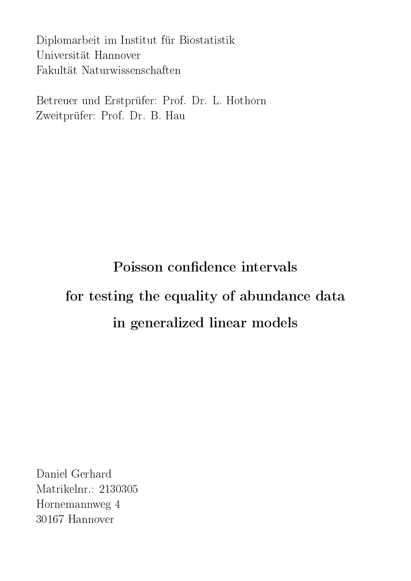Diplomarbeit im Institut für Biostatistik Universität Hannover Fakultät Naturwissenschaften

Betreuer und Erstprüfer: Prof. Dr. L. Hothorn Zweitprüfer: Prof. Dr. B. Hau

# Poisson confidence intervals for testing the equality of abundance data in generalized linear models

Daniel Gerhard Matrikelnr.: 2130305 Hornemannweg 4 30167 Hannover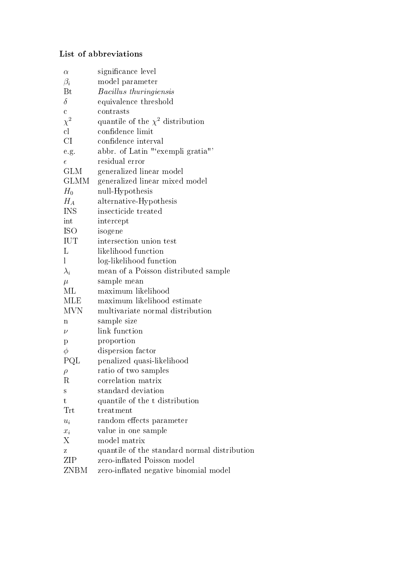### List of abbreviations

| $\alpha$             | significance level                           |
|----------------------|----------------------------------------------|
| $\beta_i$            | model parameter                              |
| Bt                   | <i>Bacillus thuringiensis</i>                |
| $\delta$             | equivalence threshold                        |
| $\mathbf{C}$         | contrasts                                    |
| $\chi^2$             | quantile of the $\chi^2$ distribution        |
| $\mathbf{c}$         | confidence limit                             |
| CI                   | confidence interval                          |
| e.g.                 | abbr. of Latin "'exempli gratia"'            |
| $\epsilon$           | residual error                               |
| GLM                  | generalized linear model                     |
| <b>GLMM</b>          | generalized linear mixed model               |
| $H_0$                | null-Hypothesis                              |
| $H_A$                | alternative-Hypothesis                       |
| <b>INS</b>           | insecticide treated                          |
| int                  | intercept                                    |
| <b>ISO</b>           | isogene                                      |
| IUT                  | intersection union test                      |
| L                    | likelihood function                          |
| $\bf{l}$             | log-likelihood function                      |
| $\lambda_i$          | mean of a Poisson distributed sample         |
| $\mu$                | sample mean                                  |
| МL                   | maximum likelihood                           |
| <b>MLE</b>           | maximum likelihood estimate                  |
| <b>MVN</b>           | multivariate normal distribution             |
| $\mathbf n$          | sample size                                  |
| $\nu$                | link function                                |
| $\mathbf{p}$         | proportion                                   |
| $\phi$               | dispersion factor                            |
| PQL                  | penalized quasi-likelihood                   |
| $\rho$               | ratio of two samples                         |
| R                    | correlation matrix                           |
| S                    | standard deviation                           |
| $\mathbf t$          | quantile of the t distribution               |
| $\operatorname{Trt}$ | treatment                                    |
| $u_i$                | random effects parameter                     |
| $x_i$                | value in one sample                          |
| Χ                    | model matrix                                 |
| z                    | quantile of the standard normal distribution |
| ZIP                  | zero-inflated Poisson model                  |
| ZNBM                 | zero-inflated negative binomial model        |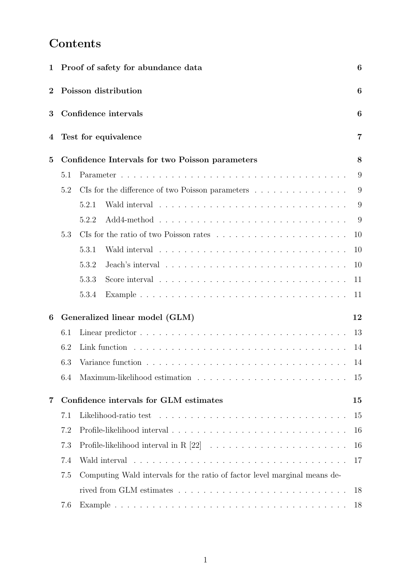# Contents

| $\mathbf 1$ |     | Proof of safety for abundance data                                        | 6  |
|-------------|-----|---------------------------------------------------------------------------|----|
| $\bf{2}$    |     | Poisson distribution                                                      | 6  |
| 3           |     | Confidence intervals                                                      | 6  |
| 4           |     | Test for equivalence                                                      | 7  |
| 5           |     | Confidence Intervals for two Poisson parameters                           | 8  |
|             | 5.1 |                                                                           | 9  |
|             | 5.2 | CIs for the difference of two Poisson parameters                          | 9  |
|             |     | 5.2.1                                                                     | 9  |
|             |     | 5.2.2                                                                     | 9  |
|             | 5.3 |                                                                           | 10 |
|             |     | 5.3.1                                                                     | 10 |
|             |     | 5.3.2                                                                     | 10 |
|             |     | 5.3.3                                                                     | 11 |
|             |     | 5.3.4                                                                     | 11 |
| 6           |     | Generalized linear model (GLM)                                            | 12 |
|             | 6.1 |                                                                           | 13 |
|             | 6.2 |                                                                           | 14 |
|             | 6.3 |                                                                           | 14 |
|             | 6.4 |                                                                           | 15 |
| 7           |     | Confidence intervals for GLM estimates                                    | 15 |
|             | 7.1 |                                                                           | 15 |
|             | 7.2 |                                                                           | 16 |
|             | 7.3 |                                                                           | 16 |
|             | 7.4 |                                                                           | 17 |
|             | 7.5 | Computing Wald intervals for the ratio of factor level marginal means de- |    |
|             |     |                                                                           | 18 |
|             | 7.6 |                                                                           | 18 |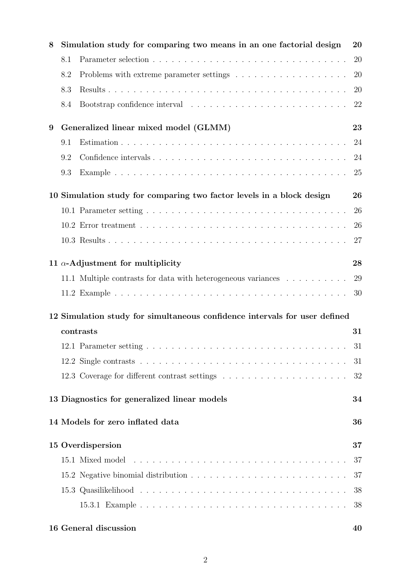| 8 |     | Simulation study for comparing two means in an one factorial design                                  | 20 |
|---|-----|------------------------------------------------------------------------------------------------------|----|
|   | 8.1 |                                                                                                      | 20 |
|   | 8.2 |                                                                                                      | 20 |
|   | 8.3 |                                                                                                      | 20 |
|   | 8.4 |                                                                                                      | 22 |
| 9 |     | Generalized linear mixed model (GLMM)                                                                | 23 |
|   | 9.1 |                                                                                                      | 24 |
|   | 9.2 |                                                                                                      | 24 |
|   | 9.3 |                                                                                                      | 25 |
|   |     | 10 Simulation study for comparing two factor levels in a block design                                | 26 |
|   |     |                                                                                                      | 26 |
|   |     |                                                                                                      | 26 |
|   |     |                                                                                                      | 27 |
|   |     | 11 $\alpha$ -Adjustment for multiplicity                                                             | 28 |
|   |     | 11.1 Multiple contrasts for data with heterogeneous variances                                        | 29 |
|   |     |                                                                                                      | 30 |
|   |     | 12 Simulation study for simultaneous confidence intervals for user defined                           |    |
|   |     | contrasts                                                                                            | 31 |
|   |     | 12.1 Parameter setting                                                                               | 31 |
|   |     |                                                                                                      | 31 |
|   |     |                                                                                                      | 32 |
|   |     | 13 Diagnostics for generalized linear models                                                         | 34 |
|   |     | 14 Models for zero inflated data                                                                     | 36 |
|   |     | 15 Overdispersion                                                                                    | 37 |
|   |     |                                                                                                      | 37 |
|   |     | 15.2 Negative binomial distribution $\ldots \ldots \ldots \ldots \ldots \ldots \ldots \ldots \ldots$ | 37 |
|   |     |                                                                                                      | 38 |
|   |     |                                                                                                      | 38 |
|   |     | 16 General discussion                                                                                | 40 |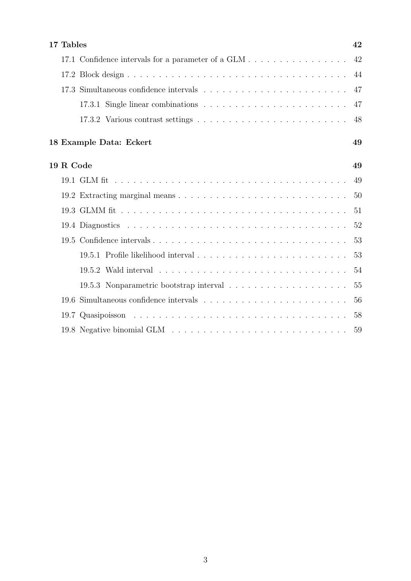| 17 Tables                                          | 42 |
|----------------------------------------------------|----|
| 17.1 Confidence intervals for a parameter of a GLM | 42 |
|                                                    | 44 |
|                                                    | 47 |
|                                                    | 47 |
|                                                    | 48 |
| 18 Example Data: Eckert                            | 49 |
| 19 R Code                                          | 49 |
|                                                    | 49 |
|                                                    | 50 |
|                                                    | 51 |
|                                                    | 52 |
|                                                    | 53 |
|                                                    | 53 |
|                                                    | 54 |
|                                                    | 55 |
| 19.6                                               | 56 |
|                                                    | 58 |
|                                                    | 59 |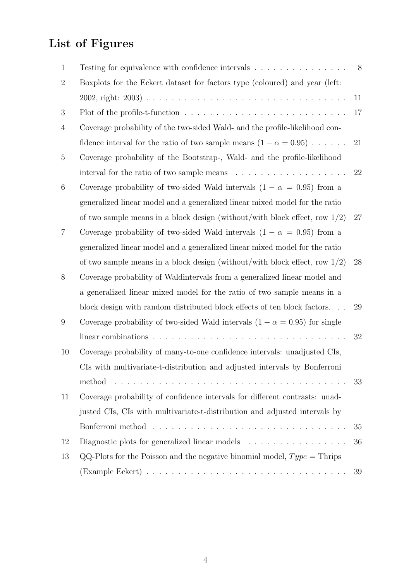# List of Figures

| Testing for equivalence with confidence intervals $\ldots \ldots \ldots \ldots \ldots$      | 8  |
|---------------------------------------------------------------------------------------------|----|
| Boxplots for the Eckert dataset for factors type (coloured) and year (left:                 |    |
|                                                                                             | 11 |
|                                                                                             | 17 |
| Coverage probability of the two-sided Wald- and the profile-likelihood con-                 |    |
| fidence interval for the ratio of two sample means $(1 - \alpha = 0.95) \dots$ 21           |    |
| Coverage probability of the Bootstrap-, Wald- and the profile-likelihood                    |    |
| interval for the ratio of two sample means $\dots \dots \dots \dots \dots \dots$            | 22 |
| Coverage probability of two-sided Wald intervals $(1 - \alpha = 0.95)$ from a               |    |
| generalized linear model and a generalized linear mixed model for the ratio                 |    |
| of two sample means in a block design (without/with block effect, row $1/2$ )               | 27 |
| Coverage probability of two-sided Wald intervals $(1 - \alpha = 0.95)$ from a               |    |
| generalized linear model and a generalized linear mixed model for the ratio                 |    |
| of two sample means in a block design (without/with block effect, row $1/2$ )               | 28 |
| Coverage probability of Waldintervals from a generalized linear model and                   |    |
| a generalized linear mixed model for the ratio of two sample means in a                     |    |
| block design with random distributed block effects of ten block factors                     | 29 |
| Coverage probability of two-sided Wald intervals $(1 - \alpha = 0.95)$ for single           |    |
| linear combinations $\ldots \ldots \ldots \ldots \ldots \ldots \ldots \ldots \ldots \ldots$ | 32 |
| Coverage probability of many-to-one confidence intervals: unadjusted CIs,                   |    |
| CIs with multivariate-t-distribution and adjusted intervals by Bonferroni                   |    |
| method                                                                                      | 33 |
| Coverage probability of confidence intervals for different contrasts: unad-                 |    |
| justed CIs, CIs with multivariate-t-distribution and adjusted intervals by                  |    |
|                                                                                             | 35 |
| Diagnostic plots for generalized linear models $\ldots \ldots \ldots \ldots \ldots$         | 36 |
| QQ-Plots for the Poisson and the negative binomial model, $Type =$ Thrips                   |    |
|                                                                                             | 39 |
|                                                                                             |    |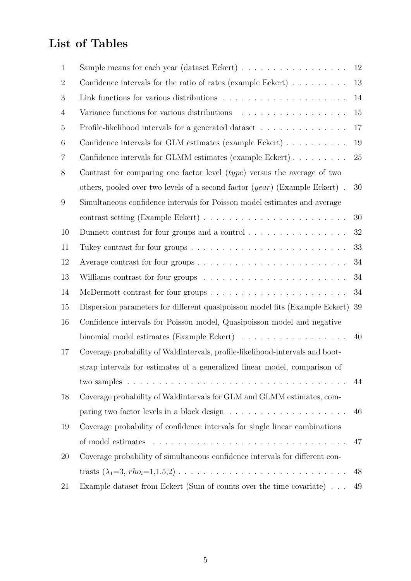# List of Tables

| $\mathbf{1}$   |                                                                                     | 12 |
|----------------|-------------------------------------------------------------------------------------|----|
| $\overline{2}$ | Confidence intervals for the ratio of rates (example Eckert) $\dots \dots$          | 13 |
| 3              |                                                                                     | 14 |
| 4              |                                                                                     | 15 |
| $\overline{5}$ | Profile-likelihood intervals for a generated dataset $\ldots \ldots \ldots \ldots$  | 17 |
| 6              | Confidence intervals for GLM estimates (example Eckert) $\ldots \ldots \ldots$      | 19 |
| 7              | Confidence intervals for GLMM estimates (example Eckert)                            | 25 |
| 8              | Contrast for comparing one factor level $(type)$ versus the average of two          |    |
|                | others, pooled over two levels of a second factor $(year)$ (Example Eckert).        | 30 |
| 9              | Simultaneous confidence intervals for Poisson model estimates and average           |    |
|                |                                                                                     | 30 |
| 10             | Dunnett contrast for four groups and a control $\dots \dots \dots \dots \dots$      | 32 |
| 11             |                                                                                     | 33 |
| 12             |                                                                                     | 34 |
| 13             | Williams contrast for four groups $\dots \dots \dots \dots \dots \dots \dots \dots$ | 34 |
| 14             |                                                                                     | 34 |
| 15             | Dispersion parameters for different quasipoisson model fits (Example Eckert) 39     |    |
| 16             | Confidence intervals for Poisson model, Quasipoisson model and negative             |    |
|                | binomial model estimates (Example Eckert)                                           | 40 |
| 17             | Coverage probability of Waldintervals, profile-likelihood-intervals and boot-       |    |
|                | strap intervals for estimates of a generalized linear model, comparison of          |    |
|                |                                                                                     | 44 |
| 18             | Coverage probability of Waldintervals for GLM and GLMM estimates, com-              |    |
|                |                                                                                     | 46 |
| 19             | Coverage probability of confidence intervals for single linear combinations         |    |
|                |                                                                                     | 47 |
| <b>20</b>      | Coverage probability of simultaneous confidence intervals for different con-        |    |
|                |                                                                                     | 48 |
| 21             | Example dataset from Eckert (Sum of counts over the time covariate)                 | 49 |
|                |                                                                                     |    |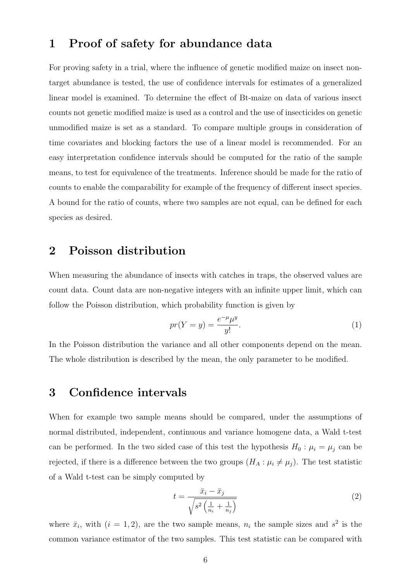# 1 Proof of safety for abundance data

For proving safety in a trial, where the influence of genetic modified maize on insect nontarget abundance is tested, the use of confidence intervals for estimates of a generalized linear model is examined. To determine the effect of Bt-maize on data of various insect counts not genetic modified maize is used as a control and the use of insecticides on genetic unmodified maize is set as a standard. To compare multiple groups in consideration of time covariates and blocking factors the use of a linear model is recommended. For an easy interpretation confidence intervals should be computed for the ratio of the sample means, to test for equivalence of the treatments. Inference should be made for the ratio of counts to enable the comparability for example of the frequency of different insect species. A bound for the ratio of counts, where two samples are not equal, can be defined for each species as desired.

# 2 Poisson distribution

When measuring the abundance of insects with catches in traps, the observed values are count data. Count data are non-negative integers with an infinite upper limit, which can follow the Poisson distribution, which probability function is given by

$$
pr(Y = y) = \frac{e^{-\mu}\mu^y}{y!}.
$$
\n<sup>(1)</sup>

In the Poisson distribution the variance and all other components depend on the mean. The whole distribution is described by the mean, the only parameter to be modified.

## 3 Confidence intervals

When for example two sample means should be compared, under the assumptions of normal distributed, independent, continuous and variance homogene data, a Wald t-test can be performed. In the two sided case of this test the hypothesis  $H_0: \mu_i = \mu_j$  can be rejected, if there is a difference between the two groups  $(H_A: \mu_i \neq \mu_j)$ . The test statistic of a Wald t-test can be simply computed by

$$
t = \frac{\bar{x}_i - \bar{x}_j}{\sqrt{s^2 \left(\frac{1}{n_i} + \frac{1}{n_j}\right)}}
$$
\n
$$
\tag{2}
$$

where  $\bar{x}_i$ , with  $(i = 1, 2)$ , are the two sample means,  $n_i$  the sample sizes and  $s^2$  is the common variance estimator of the two samples. This test statistic can be compared with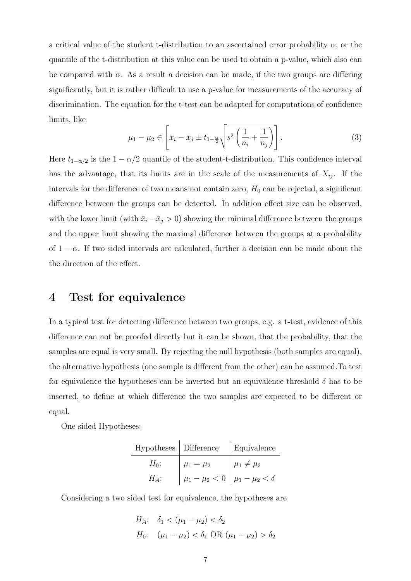a critical value of the student t-distribution to an ascertained error probability  $\alpha$ , or the quantile of the t-distribution at this value can be used to obtain a p-value, which also can be compared with  $\alpha$ . As a result a decision can be made, if the two groups are differing significantly, but it is rather difficult to use a p-value for measurements of the accuracy of discrimination. The equation for the t-test can be adapted for computations of confidence limits, like

$$
\mu_1 - \mu_2 \in \left[ \bar{x}_i - \bar{x}_j \pm t_{1-\frac{\alpha}{2}} \sqrt{s^2 \left( \frac{1}{n_i} + \frac{1}{n_j} \right)} \right]. \tag{3}
$$

Here  $t_{1-\alpha/2}$  is the  $1-\alpha/2$  quantile of the student-t-distribution. This confidence interval has the advantage, that its limits are in the scale of the measurements of  $X_{ij}$ . If the intervals for the difference of two means not contain zero,  $H_0$  can be rejected, a significant difference between the groups can be detected. In addition effect size can be observed, with the lower limit (with  $\bar{x}_i - \bar{x}_j > 0$ ) showing the minimal difference between the groups and the upper limit showing the maximal difference between the groups at a probability of  $1 - \alpha$ . If two sided intervals are calculated, further a decision can be made about the the direction of the effect.

## 4 Test for equivalence

In a typical test for detecting difference between two groups, e.g. a t-test, evidence of this difference can not be proofed directly but it can be shown, that the probability, that the samples are equal is very small. By rejecting the null hypothesis (both samples are equal), the alternative hypothesis (one sample is different from the other) can be assumed.To test for equivalence the hypotheses can be inverted but an equivalence threshold  $\delta$  has to be inserted, to define at which difference the two samples are expected to be different or equal.

One sided Hypotheses:

| Hypotheses   Difference |                                                | Equivalence        |
|-------------------------|------------------------------------------------|--------------------|
| $H_0$ :                 | $\mu_1 = \mu_2$                                | $\mu_1 \neq \mu_2$ |
| $H_A$ :                 | $ \mu_1 - \mu_2  < 0  \mu_1 - \mu_2  < \delta$ |                    |

Considering a two sided test for equivalence, the hypotheses are

$$
H_A: \quad \delta_1 < (\mu_1 - \mu_2) < \delta_2
$$
\n
$$
H_0: \quad (\mu_1 - \mu_2) < \delta_1 \text{ OR } (\mu_1 - \mu_2) > \delta_2
$$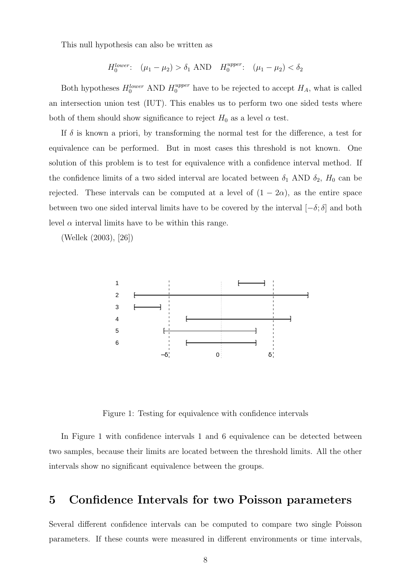This null hypothesis can also be written as

$$
H_0^{lower}
$$
:  $(\mu_1 - \mu_2) > \delta_1$  AND  $H_0^{upper}$ :  $(\mu_1 - \mu_2) < \delta_2$ 

Both hypotheses  $H_0^{lower}$  AND  $H_0^{upper}$  have to be rejected to accept  $H_A$ , what is called an intersection union test (IUT). This enables us to perform two one sided tests where both of them should show significance to reject  $H_0$  as a level  $\alpha$  test.

If  $\delta$  is known a priori, by transforming the normal test for the difference, a test for equivalence can be performed. But in most cases this threshold is not known. One solution of this problem is to test for equivalence with a confidence interval method. If the confidence limits of a two sided interval are located between  $\delta_1$  AND  $\delta_2$ ,  $H_0$  can be rejected. These intervals can be computed at a level of  $(1 - 2\alpha)$ , as the entire space between two one sided interval limits have to be covered by the interval  $[-\delta; \delta]$  and both level  $\alpha$  interval limits have to be within this range.

(Wellek (2003), [26])



Figure 1: Testing for equivalence with confidence intervals

In Figure 1 with confidence intervals 1 and 6 equivalence can be detected between two samples, because their limits are located between the threshold limits. All the other intervals show no significant equivalence between the groups.

# 5 Confidence Intervals for two Poisson parameters

Several different confidence intervals can be computed to compare two single Poisson parameters. If these counts were measured in different environments or time intervals,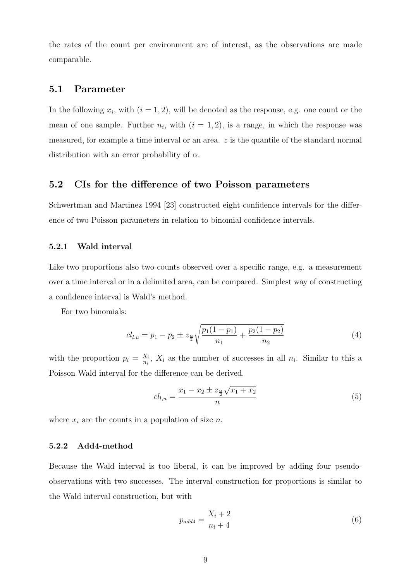the rates of the count per environment are of interest, as the observations are made comparable.

#### 5.1 Parameter

In the following  $x_i$ , with  $(i = 1, 2)$ , will be denoted as the response, e.g. one count or the mean of one sample. Further  $n_i$ , with  $(i = 1, 2)$ , is a range, in which the response was measured, for example a time interval or an area.  $z$  is the quantile of the standard normal distribution with an error probability of  $\alpha$ .

#### 5.2 CIs for the difference of two Poisson parameters

Schwertman and Martinez 1994 [23] constructed eight confidence intervals for the difference of two Poisson parameters in relation to binomial confidence intervals.

#### 5.2.1 Wald interval

Like two proportions also two counts observed over a specific range, e.g. a measurement over a time interval or in a delimited area, can be compared. Simplest way of constructing a confidence interval is Wald's method.

For two binomials:

$$
cl_{l,u} = p_1 - p_2 \pm z_{\frac{\alpha}{2}} \sqrt{\frac{p_1(1-p_1)}{n_1} + \frac{p_2(1-p_2)}{n_2}}
$$
(4)

with the proportion  $p_i = \frac{X_i}{n_i}$  $\frac{X_i}{n_i}$ ,  $X_i$  as the number of successes in all  $n_i$ . Similar to this a Poisson Wald interval for the difference can be derived.

$$
cl_{l,u} = \frac{x_1 - x_2 \pm z_{\frac{\alpha}{2}}\sqrt{x_1 + x_2}}{n} \tag{5}
$$

where  $x_i$  are the counts in a population of size n.

#### 5.2.2 Add4-method

Because the Wald interval is too liberal, it can be improved by adding four pseudoobservations with two successes. The interval construction for proportions is similar to the Wald interval construction, but with

$$
p_{add4} = \frac{X_i + 2}{n_i + 4} \tag{6}
$$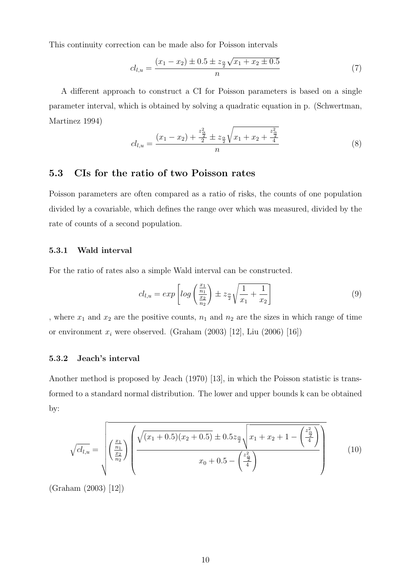This continuity correction can be made also for Poisson intervals

$$
cl_{l,u} = \frac{(x_1 - x_2) \pm 0.5 \pm z_{\frac{\alpha}{2}}\sqrt{x_1 + x_2 \pm 0.5}}{n} \tag{7}
$$

A different approach to construct a CI for Poisson parameters is based on a single parameter interval, which is obtained by solving a quadratic equation in p. (Schwertman, Martinez 1994)

$$
cl_{l,u} = \frac{(x_1 - x_2) + \frac{z_{\frac{\alpha}{2}}^2}{2} \pm z_{\frac{\alpha}{2}} \sqrt{x_1 + x_2 + \frac{z_{\frac{\alpha}{2}}^2}{4}}}{n}
$$
(8)

#### 5.3 CIs for the ratio of two Poisson rates

Poisson parameters are often compared as a ratio of risks, the counts of one population divided by a covariable, which defines the range over which was measured, divided by the rate of counts of a second population.

#### 5.3.1 Wald interval

For the ratio of rates also a simple Wald interval can be constructed.

$$
cl_{l,u} = exp\left[log\left(\frac{\frac{x_1}{n_1}}{\frac{x_2}{n_2}}\right) \pm z_{\frac{\alpha}{2}}\sqrt{\frac{1}{x_1} + \frac{1}{x_2}}\right]
$$
(9)

, where  $x_1$  and  $x_2$  are the positive counts,  $n_1$  and  $n_2$  are the sizes in which range of time or environment  $x_i$  were observed. (Graham (2003) [12], Liu (2006) [16])

#### 5.3.2 Jeach's interval

Another method is proposed by Jeach (1970) [13], in which the Poisson statistic is transformed to a standard normal distribution. The lower and upper bounds k can be obtained by:

$$
\sqrt{cl_{l,u}} = \sqrt{\left(\frac{\frac{x_1}{n_1}}{\frac{x_2}{n_2}}\right)\left(\frac{\sqrt{(x_1+0.5)(x_2+0.5)} \pm 0.5z_{\frac{\alpha}{2}}\sqrt{x_1+x_2+1-\left(\frac{z_{\frac{\alpha}{2}}^2}{4}\right)} }{x_0+0.5-\left(\frac{z_{\frac{\alpha}{2}}^2}{4}\right)}\right)}
$$
(10)

(Graham (2003) [12])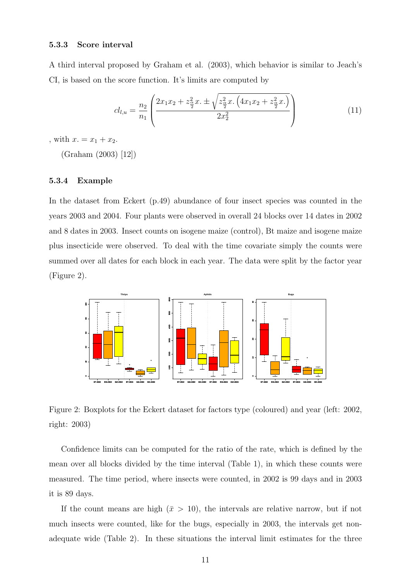#### 5.3.3 Score interval

A third interval proposed by Graham et al. (2003), which behavior is similar to Jeach's CI, is based on the score function. It's limits are computed by

$$
cl_{l,u} = \frac{n_2}{n_1} \left( \frac{2x_1x_2 + z_{\frac{\alpha}{2}}^2 x \cdot \pm \sqrt{z_{\frac{\alpha}{2}}^2 x \cdot \left(4x_1x_2 + z_{\frac{\alpha}{2}}^2 x \cdot \right)}}{2x_2^2} \right) \tag{11}
$$

, with  $x = x_1 + x_2$ .

(Graham (2003) [12])

#### 5.3.4 Example

In the dataset from Eckert (p.49) abundance of four insect species was counted in the years 2003 and 2004. Four plants were observed in overall 24 blocks over 14 dates in 2002 and 8 dates in 2003. Insect counts on isogene maize (control), Bt maize and isogene maize plus insecticide were observed. To deal with the time covariate simply the counts were summed over all dates for each block in each year. The data were split by the factor year (Figure 2).



Figure 2: Boxplots for the Eckert dataset for factors type (coloured) and year (left: 2002, right: 2003)

Confidence limits can be computed for the ratio of the rate, which is defined by the mean over all blocks divided by the time interval (Table 1), in which these counts were measured. The time period, where insects were counted, in 2002 is 99 days and in 2003 it is 89 days.

If the count means are high  $(\bar{x} > 10)$ , the intervals are relative narrow, but if not much insects were counted, like for the bugs, especially in 2003, the intervals get nonadequate wide (Table 2). In these situations the interval limit estimates for the three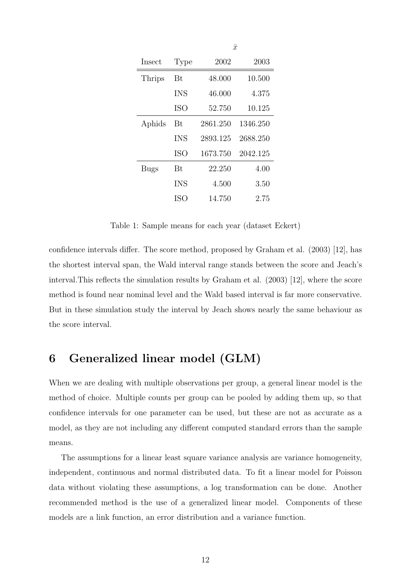| Insect | Type       | 2002     | 2003     |
|--------|------------|----------|----------|
| Thrips | Bt.        | 48.000   | 10.500   |
|        | <b>INS</b> | 46.000   | 4.375    |
|        | <b>ISO</b> | 52.750   | 10.125   |
| Aphids | Bt         | 2861.250 | 1346.250 |
|        | <b>INS</b> | 2893.125 | 2688.250 |
|        | ISO        | 1673.750 | 2042.125 |
| Bugs   | Bŧ         | 22.250   | 4.00     |
|        | <b>INS</b> | 4.500    | 3.50     |
|        | ISO        | 14.750   | 2.75     |

 $\bar{x}$ 

Table 1: Sample means for each year (dataset Eckert)

confidence intervals differ. The score method, proposed by Graham et al. (2003) [12], has the shortest interval span, the Wald interval range stands between the score and Jeach's interval.This reflects the simulation results by Graham et al. (2003) [12], where the score method is found near nominal level and the Wald based interval is far more conservative. But in these simulation study the interval by Jeach shows nearly the same behaviour as the score interval.

# 6 Generalized linear model (GLM)

When we are dealing with multiple observations per group, a general linear model is the method of choice. Multiple counts per group can be pooled by adding them up, so that confidence intervals for one parameter can be used, but these are not as accurate as a model, as they are not including any different computed standard errors than the sample means.

The assumptions for a linear least square variance analysis are variance homogeneity, independent, continuous and normal distributed data. To fit a linear model for Poisson data without violating these assumptions, a log transformation can be done. Another recommended method is the use of a generalized linear model. Components of these models are a link function, an error distribution and a variance function.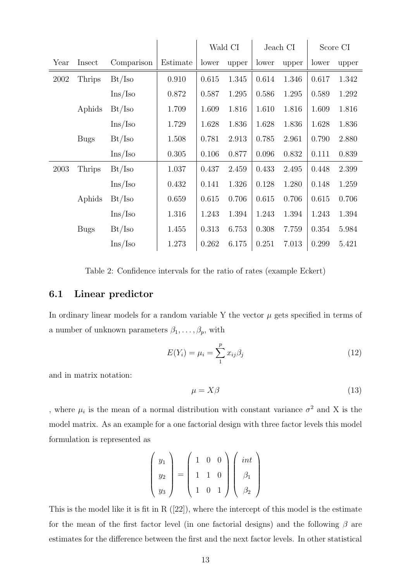|      |             |                         |          |       | Wald CI |       | Jeach CI |       | Score CI |
|------|-------------|-------------------------|----------|-------|---------|-------|----------|-------|----------|
| Year | Insect      | Comparison              | Estimate | lower | upper   | lower | upper    | lower | upper    |
| 2002 | Thrips      | Bt/Iso                  | 0.910    | 0.615 | 1.345   | 0.614 | 1.346    | 0.617 | 1.342    |
|      |             | $\text{Ins}/\text{Iso}$ | 0.872    | 0.587 | 1.295   | 0.586 | 1.295    | 0.589 | 1.292    |
|      | Aphids      | Bt/Iso                  | 1.709    | 1.609 | 1.816   | 1.610 | 1.816    | 1.609 | 1.816    |
|      |             | $\text{Ins}/\text{Iso}$ | 1.729    | 1.628 | 1.836   | 1.628 | 1.836    | 1.628 | 1.836    |
|      | <b>Bugs</b> | Bt/Iso                  | 1.508    | 0.781 | 2.913   | 0.785 | 2.961    | 0.790 | 2.880    |
|      |             | $\text{Ins}/\text{Iso}$ | 0.305    | 0.106 | 0.877   | 0.096 | 0.832    | 0.111 | 0.839    |
| 2003 | Thrips      | Bt/Iso                  | 1.037    | 0.437 | 2.459   | 0.433 | 2.495    | 0.448 | 2.399    |
|      |             | Ins/Iso                 | 0.432    | 0.141 | 1.326   | 0.128 | 1.280    | 0.148 | 1.259    |
|      | Aphids      | Bt/Iso                  | 0.659    | 0.615 | 0.706   | 0.615 | 0.706    | 0.615 | 0.706    |
|      |             | Ins/Iso                 | 1.316    | 1.243 | 1.394   | 1.243 | 1.394    | 1.243 | 1.394    |
|      | <b>Bugs</b> | Bt/Iso                  | 1.455    | 0.313 | 6.753   | 0.308 | 7.759    | 0.354 | 5.984    |
|      |             | Ins/Iso                 | 1.273    | 0.262 | 6.175   | 0.251 | 7.013    | 0.299 | 5.421    |

Table 2: Confidence intervals for the ratio of rates (example Eckert)

#### 6.1 Linear predictor

In ordinary linear models for a random variable Y the vector  $\mu$  gets specified in terms of a number of unknown parameters  $\beta_1, \ldots, \beta_p$ , with

$$
E(Y_i) = \mu_i = \sum_{1}^{p} x_{ij} \beta_j
$$
\n(12)

and in matrix notation:

$$
\mu = X\beta \tag{13}
$$

, where  $\mu_i$  is the mean of a normal distribution with constant variance  $\sigma^2$  and X is the model matrix. As an example for a one factorial design with three factor levels this model formulation is represented as

$$
\left(\begin{array}{c} y_1 \\ y_2 \\ y_3 \end{array}\right) = \left(\begin{array}{ccc} 1 & 0 & 0 \\ 1 & 1 & 0 \\ 1 & 0 & 1 \end{array}\right) \left(\begin{array}{c} int \\ \beta_1 \\ \beta_2 \end{array}\right)
$$

This is the model like it is fit in R ([22]), where the intercept of this model is the estimate for the mean of the first factor level (in one factorial designs) and the following  $\beta$  are estimates for the difference between the first and the next factor levels. In other statistical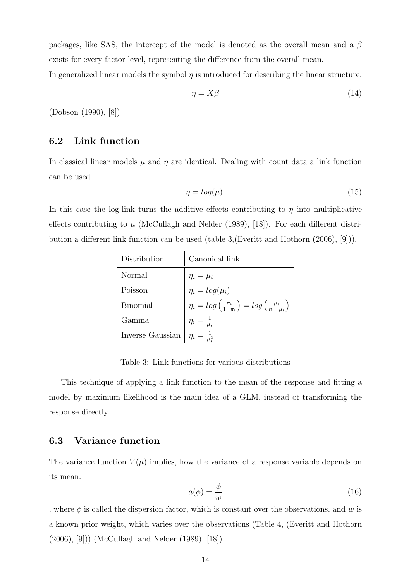packages, like SAS, the intercept of the model is denoted as the overall mean and a  $\beta$ exists for every factor level, representing the difference from the overall mean.

In generalized linear models the symbol  $\eta$  is introduced for describing the linear structure.

$$
\eta = X\beta \tag{14}
$$

(Dobson (1990), [8])

#### 6.2 Link function

In classical linear models  $\mu$  and  $\eta$  are identical. Dealing with count data a link function can be used

$$
\eta = \log(\mu). \tag{15}
$$

In this case the log-link turns the additive effects contributing to  $\eta$  into multiplicative effects contributing to  $\mu$  (McCullagh and Nelder (1989), [18]). For each different distribution a different link function can be used (table 3,(Everitt and Hothorn (2006), [9])).

| Distribution     | Canonical link                                                                                                                                                                        |
|------------------|---------------------------------------------------------------------------------------------------------------------------------------------------------------------------------------|
| Normal           |                                                                                                                                                                                       |
| Poisson          |                                                                                                                                                                                       |
| <b>Binomial</b>  |                                                                                                                                                                                       |
| Gamma            |                                                                                                                                                                                       |
| Inverse Gaussian | $\eta_i = \mu_i$<br>$\eta_i = log(\mu_i)$<br>$\eta_i = log(\frac{\pi_i}{1 - \pi_i}) = log(\frac{\mu_i}{n_i - \mu_i})$<br>$\eta_i = \frac{1}{\mu_i^2}$<br>$\eta_i = \frac{1}{\mu_i^2}$ |

Table 3: Link functions for various distributions

This technique of applying a link function to the mean of the response and fitting a model by maximum likelihood is the main idea of a GLM, instead of transforming the response directly.

#### 6.3 Variance function

The variance function  $V(\mu)$  implies, how the variance of a response variable depends on its mean.

$$
a(\phi) = \frac{\phi}{w} \tag{16}
$$

, where  $\phi$  is called the dispersion factor, which is constant over the observations, and w is a known prior weight, which varies over the observations (Table 4, (Everitt and Hothorn (2006), [9])) (McCullagh and Nelder (1989), [18]).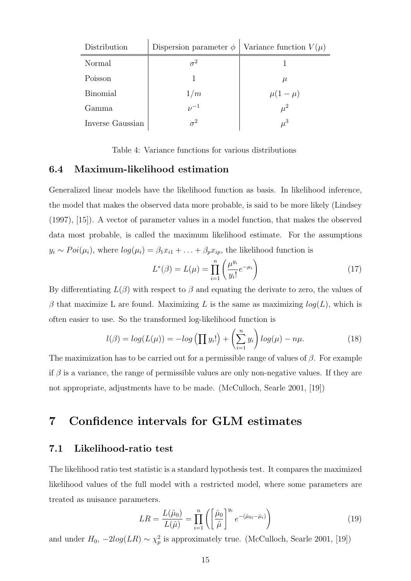| Distribution     | Dispersion parameter $\phi$   Variance function $V(\mu)$ |              |
|------------------|----------------------------------------------------------|--------------|
| Normal           | $\sigma^2$                                               |              |
| Poisson          |                                                          | $\mu$        |
| <b>Binomial</b>  | 1/m                                                      | $\mu(1-\mu)$ |
| Gamma            | $\nu^{-1}$                                               | $\mu^2$      |
| Inverse Gaussian | $\sigma^2$                                               | $\mu^3$      |

Table 4: Variance functions for various distributions

#### 6.4 Maximum-likelihood estimation

Generalized linear models have the likelihood function as basis. In likelihood inference, the model that makes the observed data more probable, is said to be more likely (Lindsey (1997), [15]). A vector of parameter values in a model function, that makes the observed data most probable, is called the maximum likelihood estimate. For the assumptions  $y_i \sim Poi(\mu_i)$ , where  $log(\mu_i) = \beta_1 x_{i1} + \ldots + \beta_p x_{ip}$ , the likelihood function is

$$
L^*(\beta) = L(\mu) = \prod_{i=1}^n \left(\frac{\mu^{y_i}}{y_i!} e^{-\mu_i}\right)
$$
 (17)

By differentiating  $L(\beta)$  with respect to  $\beta$  and equating the derivate to zero, the values of  $\beta$  that maximize L are found. Maximizing L is the same as maximizing  $log(L)$ , which is often easier to use. So the transformed log-likelihood function is

$$
l(\beta) = \log(L(\mu)) = -\log\left(\prod y_i!\right) + \left(\sum_{i=1}^n y_i\right) \log(\mu) - n\mu. \tag{18}
$$

The maximization has to be carried out for a permissible range of values of  $\beta$ . For example if  $\beta$  is a variance, the range of permissible values are only non-negative values. If they are not appropriate, adjustments have to be made. (McCulloch, Searle 2001, [19])

# 7 Confidence intervals for GLM estimates

#### 7.1 Likelihood-ratio test

The likelihood ratio test statistic is a standard hypothesis test. It compares the maximized likelihood values of the full model with a restricted model, where some parameters are treated as nuisance parameters.

$$
LR = \frac{L(\hat{\mu}_0)}{L(\hat{\mu})} = \prod_{i=1}^n \left( \left[ \frac{\hat{\mu}_0}{\hat{\mu}} \right]^{y_i} e^{-(\hat{\mu}_0 - \hat{\mu}_i)} \right) \tag{19}
$$

and under  $H_0$ ,  $-2log(LR) \sim \chi_p^2$  is approximately true. (McCulloch, Searle 2001, [19])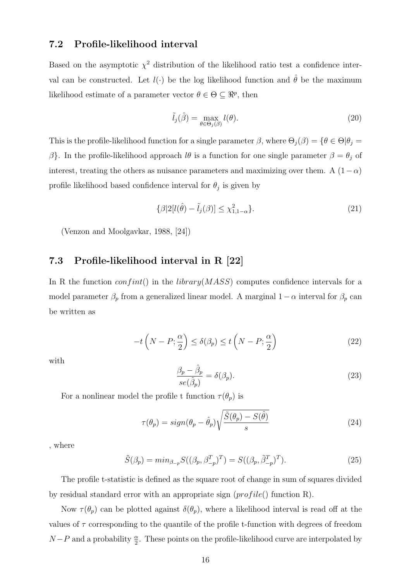#### 7.2 Profile-likelihood interval

Based on the asymptotic  $\chi^2$  distribution of the likelihood ratio test a confidence interval can be constructed. Let  $l(\cdot)$  be the log likelihood function and  $\hat{\theta}$  be the maximum likelihood estimate of a parameter vector  $\theta \in \Theta \subseteq \Re^p$ , then

$$
\tilde{l}_j(\hat{\beta}) = \max_{\theta \in \Theta_j(\beta)} l(\theta). \tag{20}
$$

This is the profile-likelihood function for a single parameter  $\beta$ , where  $\Theta_j(\beta) = {\theta \in \Theta | \theta_j = \beta}$ β}. In the profile-likelihood approach  $l\theta$  is a function for one single parameter  $\beta = \theta_j$  of interest, treating the others as nuisance parameters and maximizing over them. A  $(1-\alpha)$ profile likelihood based confidence interval for  $\theta_j$  is given by

$$
\{\beta|2[l(\hat{\theta}) - \tilde{l}_j(\beta)] \le \chi^2_{1,1-\alpha}\}.
$$
\n(21)

(Venzon and Moolgavkar, 1988, [24])

### 7.3 Profile-likelihood interval in R [22]

In R the function  $confint()$  in the *library*( $MASS)$ ) computes confidence intervals for a model parameter  $\beta_p$  from a generalized linear model. A marginal  $1-\alpha$  interval for  $\beta_p$  can be written as

$$
-t\left(N-P;\frac{\alpha}{2}\right) \le \delta(\beta_p) \le t\left(N-P;\frac{\alpha}{2}\right) \tag{22}
$$

with

$$
\frac{\beta_p - \hat{\beta}_p}{se(\hat{\beta}_p)} = \delta(\beta_p). \tag{23}
$$

For a nonlinear model the profile t function  $\tau(\theta_p)$  is

$$
\tau(\theta_p) = sign(\theta_p - \hat{\theta}_p) \sqrt{\frac{\tilde{S}(\theta_p) - S(\hat{\theta})}{s}}
$$
\n(24)

, where

$$
\tilde{S}(\beta_p) = \min_{\beta_{-p}} S((\beta_p, \beta_{-p}^T)^T) = S((\beta_p, \tilde{\beta}_{-p}^T)^T). \tag{25}
$$

The profile t-statistic is defined as the square root of change in sum of squares divided by residual standard error with an appropriate sign  $(pred_i(e))$  function R).

Now  $\tau(\theta_p)$  can be plotted against  $\delta(\theta_p)$ , where a likelihood interval is read off at the values of  $\tau$  corresponding to the quantile of the profile t-function with degrees of freedom  $N-P$  and a probability  $\frac{\alpha}{2}$ . These points on the profile-likelihood curve are interpolated by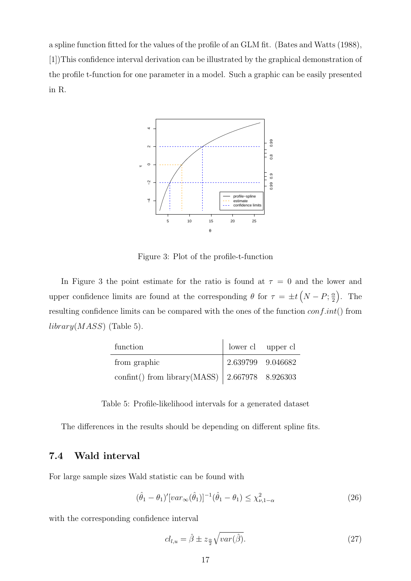a spline function fitted for the values of the profile of an GLM fit. (Bates and Watts (1988), [1])This confidence interval derivation can be illustrated by the graphical demonstration of the profile t-function for one parameter in a model. Such a graphic can be easily presented in R.



Figure 3: Plot of the profile-t-function

In Figure 3 the point estimate for the ratio is found at  $\tau = 0$  and the lower and upper confidence limits are found at the corresponding  $\theta$  for  $\tau = \pm t (N - P; \frac{\alpha}{2})$ 2  $\big)$ . The resulting confidence limits can be compared with the ones of the function  $conf.int()$  from  $library(MASS)$  (Table 5).

| function                                               | lower cl upper cl |  |
|--------------------------------------------------------|-------------------|--|
| from graphic                                           | 2.639799 9.046682 |  |
| confint() from library(MASS) $\vert$ 2.667978 8.926303 |                   |  |

Table 5: Profile-likelihood intervals for a generated dataset

The differences in the results should be depending on different spline fits.

#### 7.4 Wald interval

For large sample sizes Wald statistic can be found with

$$
(\hat{\theta}_1 - \theta_1)' [var_{\infty}(\hat{\theta}_1)]^{-1} (\hat{\theta}_1 - \theta_1) \le \chi^2_{\nu, 1 - \alpha} \tag{26}
$$

with the corresponding confidence interval

$$
cl_{l,u} = \hat{\beta} \pm z_{\frac{\alpha}{2}} \sqrt{var(\hat{\beta})}.
$$
\n(27)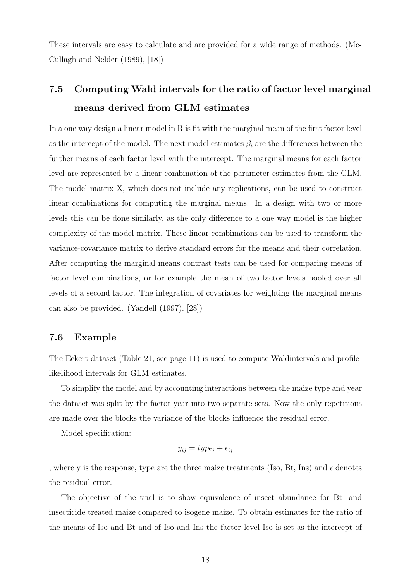These intervals are easy to calculate and are provided for a wide range of methods. (Mc-Cullagh and Nelder (1989), [18])

# 7.5 Computing Wald intervals for the ratio of factor level marginal means derived from GLM estimates

In a one way design a linear model in R is fit with the marginal mean of the first factor level as the intercept of the model. The next model estimates  $\beta_i$  are the differences between the further means of each factor level with the intercept. The marginal means for each factor level are represented by a linear combination of the parameter estimates from the GLM. The model matrix X, which does not include any replications, can be used to construct linear combinations for computing the marginal means. In a design with two or more levels this can be done similarly, as the only difference to a one way model is the higher complexity of the model matrix. These linear combinations can be used to transform the variance-covariance matrix to derive standard errors for the means and their correlation. After computing the marginal means contrast tests can be used for comparing means of factor level combinations, or for example the mean of two factor levels pooled over all levels of a second factor. The integration of covariates for weighting the marginal means can also be provided. (Yandell (1997), [28])

#### 7.6 Example

The Eckert dataset (Table 21, see page 11) is used to compute Waldintervals and profilelikelihood intervals for GLM estimates.

To simplify the model and by accounting interactions between the maize type and year the dataset was split by the factor year into two separate sets. Now the only repetitions are made over the blocks the variance of the blocks influence the residual error.

Model specification:

$$
y_{ij} = type_i + \epsilon_{ij}
$$

, where y is the response, type are the three maize treatments (Iso, Bt, Ins) and  $\epsilon$  denotes the residual error.

The objective of the trial is to show equivalence of insect abundance for Bt- and insecticide treated maize compared to isogene maize. To obtain estimates for the ratio of the means of Iso and Bt and of Iso and Ins the factor level Iso is set as the intercept of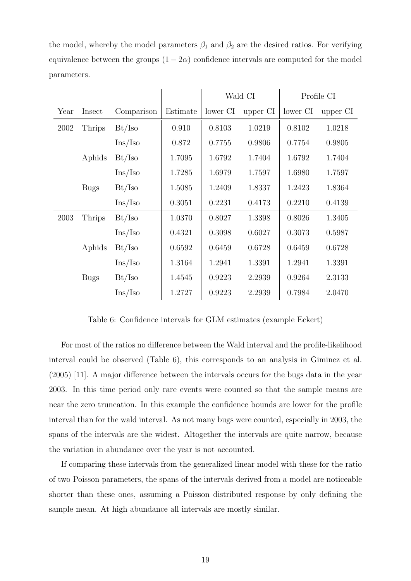the model, whereby the model parameters  $\beta_1$  and  $\beta_2$  are the desired ratios. For verifying equivalence between the groups  $(1 - 2\alpha)$  confidence intervals are computed for the model parameters.

|      |               |                         |          | Wald CI  |          | Profile CI |          |
|------|---------------|-------------------------|----------|----------|----------|------------|----------|
| Year | Insect        | Comparison              | Estimate | lower CI | upper CI | lower CI   | upper CI |
| 2002 | <b>Thrips</b> | Bt/Iso                  | 0.910    | 0.8103   | 1.0219   | 0.8102     | 1.0218   |
|      |               | Ins/Iso                 | 0.872    | 0.7755   | 0.9806   | 0.7754     | 0.9805   |
|      | Aphids        | Bt/Iso                  | 1.7095   | 1.6792   | 1.7404   | 1.6792     | 1.7404   |
|      |               | $\text{Ins}/\text{Iso}$ | 1.7285   | 1.6979   | 1.7597   | 1.6980     | 1.7597   |
|      | <b>Bugs</b>   | Bt/Iso                  | 1.5085   | 1.2409   | 1.8337   | 1.2423     | 1.8364   |
|      |               | $\text{Ins}/\text{Iso}$ | 0.3051   | 0.2231   | 0.4173   | 0.2210     | 0.4139   |
| 2003 | Thrips        | Bt/Iso                  | 1.0370   | 0.8027   | 1.3398   | 0.8026     | 1.3405   |
|      |               | $\text{Ins}/\text{Iso}$ | 0.4321   | 0.3098   | 0.6027   | 0.3073     | 0.5987   |
|      | Aphids        | Bt/Iso                  | 0.6592   | 0.6459   | 0.6728   | 0.6459     | 0.6728   |
|      |               | Ins/Iso                 | 1.3164   | 1.2941   | 1.3391   | 1.2941     | 1.3391   |
|      | <b>Bugs</b>   | Bt/Iso                  | 1.4545   | 0.9223   | 2.2939   | 0.9264     | 2.3133   |
|      |               | Ins/Iso                 | 1.2727   | 0.9223   | 2.2939   | 0.7984     | 2.0470   |

Table 6: Confidence intervals for GLM estimates (example Eckert)

For most of the ratios no difference between the Wald interval and the profile-likelihood interval could be observed (Table 6), this corresponds to an analysis in Giminez et al. (2005) [11]. A major difference between the intervals occurs for the bugs data in the year 2003. In this time period only rare events were counted so that the sample means are near the zero truncation. In this example the confidence bounds are lower for the profile interval than for the wald interval. As not many bugs were counted, especially in 2003, the spans of the intervals are the widest. Altogether the intervals are quite narrow, because the variation in abundance over the year is not accounted.

If comparing these intervals from the generalized linear model with these for the ratio of two Poisson parameters, the spans of the intervals derived from a model are noticeable shorter than these ones, assuming a Poisson distributed response by only defining the sample mean. At high abundance all intervals are mostly similar.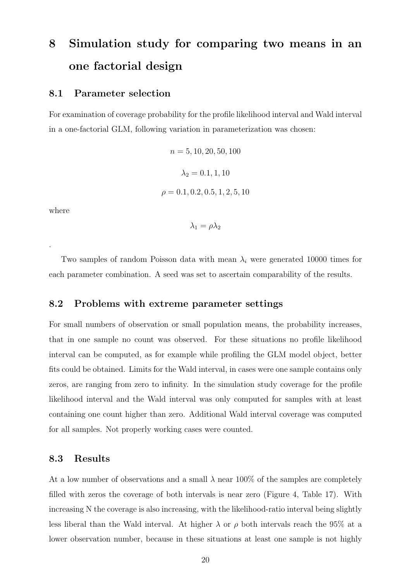# 8 Simulation study for comparing two means in an one factorial design

#### 8.1 Parameter selection

For examination of coverage probability for the profile likelihood interval and Wald interval in a one-factorial GLM, following variation in parameterization was chosen:

> $n = 5, 10, 20, 50, 100$  $\lambda_2 = 0.1, 1, 10$  $\rho = 0.1, 0.2, 0.5, 1, 2, 5, 10$

where

.

 $\lambda_1 = \rho \lambda_2$ 

Two samples of random Poisson data with mean  $\lambda_i$  were generated 10000 times for each parameter combination. A seed was set to ascertain comparability of the results.

#### 8.2 Problems with extreme parameter settings

For small numbers of observation or small population means, the probability increases, that in one sample no count was observed. For these situations no profile likelihood interval can be computed, as for example while profiling the GLM model object, better fits could be obtained. Limits for the Wald interval, in cases were one sample contains only zeros, are ranging from zero to infinity. In the simulation study coverage for the profile likelihood interval and the Wald interval was only computed for samples with at least containing one count higher than zero. Additional Wald interval coverage was computed for all samples. Not properly working cases were counted.

#### 8.3 Results

At a low number of observations and a small  $\lambda$  near 100% of the samples are completely filled with zeros the coverage of both intervals is near zero (Figure 4, Table 17). With increasing N the coverage is also increasing, with the likelihood-ratio interval being slightly less liberal than the Wald interval. At higher  $\lambda$  or  $\rho$  both intervals reach the 95% at a lower observation number, because in these situations at least one sample is not highly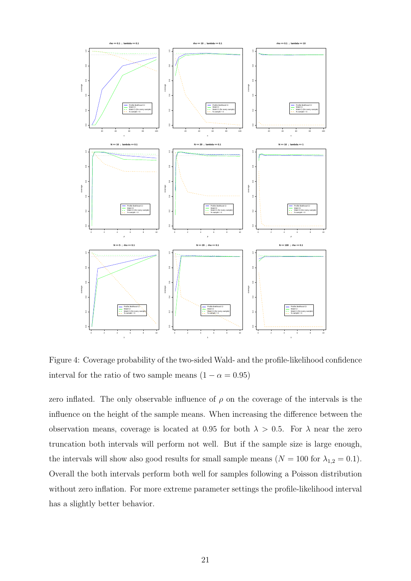

Figure 4: Coverage probability of the two-sided Wald- and the profile-likelihood confidence interval for the ratio of two sample means  $(1 - \alpha = 0.95)$ 

zero inflated. The only observable influence of  $\rho$  on the coverage of the intervals is the influence on the height of the sample means. When increasing the difference between the observation means, coverage is located at 0.95 for both  $\lambda > 0.5$ . For  $\lambda$  near the zero truncation both intervals will perform not well. But if the sample size is large enough, the intervals will show also good results for small sample means  $(N = 100$  for  $\lambda_{1,2} = 0.1$ ). Overall the both intervals perform both well for samples following a Poisson distribution without zero inflation. For more extreme parameter settings the profile-likelihood interval has a slightly better behavior.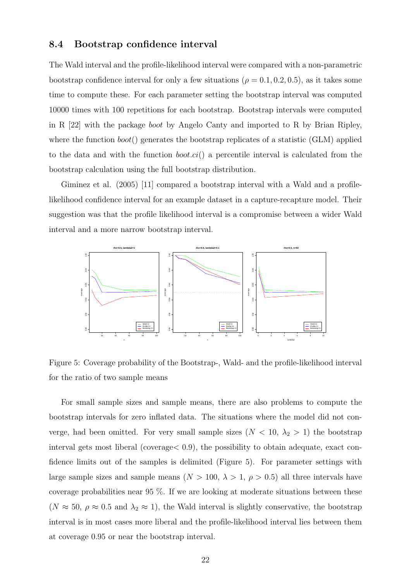#### 8.4 Bootstrap confidence interval

The Wald interval and the profile-likelihood interval were compared with a non-parametric bootstrap confidence interval for only a few situations ( $\rho = 0.1, 0.2, 0.5$ ), as it takes some time to compute these. For each parameter setting the bootstrap interval was computed 10000 times with 100 repetitions for each bootstrap. Bootstrap intervals were computed in R [22] with the package boot by Angelo Canty and imported to R by Brian Ripley, where the function  $boot()$  generates the bootstrap replicates of a statistic (GLM) applied to the data and with the function  $boot.ci()$  a percentile interval is calculated from the bootstrap calculation using the full bootstrap distribution.

Giminez et al. (2005) [11] compared a bootstrap interval with a Wald and a profilelikelihood confidence interval for an example dataset in a capture-recapture model. Their suggestion was that the profile likelihood interval is a compromise between a wider Wald interval and a more narrow bootstrap interval.



Figure 5: Coverage probability of the Bootstrap-, Wald- and the profile-likelihood interval for the ratio of two sample means

For small sample sizes and sample means, there are also problems to compute the bootstrap intervals for zero inflated data. The situations where the model did not converge, had been omitted. For very small sample sizes  $(N < 10, \lambda_2 > 1)$  the bootstrap interval gets most liberal (coverage< 0.9), the possibility to obtain adequate, exact confidence limits out of the samples is delimited (Figure 5). For parameter settings with large sample sizes and sample means ( $N > 100$ ,  $\lambda > 1$ ,  $\rho > 0.5$ ) all three intervals have coverage probabilities near 95 %. If we are looking at moderate situations between these  $(N \approx 50, \rho \approx 0.5 \text{ and } \lambda_2 \approx 1)$ , the Wald interval is slightly conservative, the bootstrap interval is in most cases more liberal and the profile-likelihood interval lies between them at coverage 0.95 or near the bootstrap interval.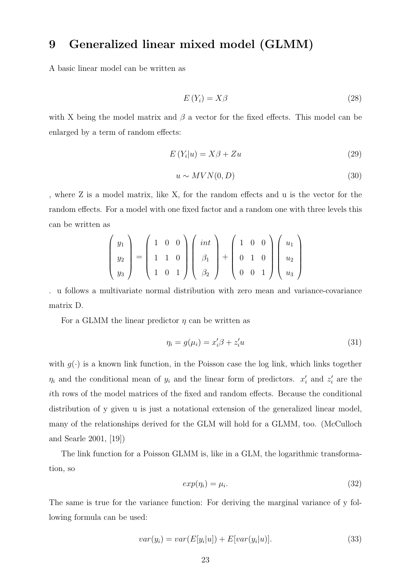# 9 Generalized linear mixed model (GLMM)

A basic linear model can be written as

$$
E(Y_i) = X\beta \tag{28}
$$

with X being the model matrix and  $\beta$  a vector for the fixed effects. This model can be enlarged by a term of random effects:

$$
E(Y_i|u) = X\beta + Zu \tag{29}
$$

$$
u \sim MVN(0, D) \tag{30}
$$

, where Z is a model matrix, like X, for the random effects and u is the vector for the random effects. For a model with one fixed factor and a random one with three levels this can be written as

$$
\begin{pmatrix} y_1 \\ y_2 \\ y_3 \end{pmatrix} = \begin{pmatrix} 1 & 0 & 0 \\ 1 & 1 & 0 \\ 1 & 0 & 1 \end{pmatrix} \begin{pmatrix} int \\ \beta_1 \\ \beta_2 \end{pmatrix} + \begin{pmatrix} 1 & 0 & 0 \\ 0 & 1 & 0 \\ 0 & 0 & 1 \end{pmatrix} \begin{pmatrix} u_1 \\ u_2 \\ u_3 \end{pmatrix}
$$

. u follows a multivariate normal distribution with zero mean and variance-covariance matrix D.

For a GLMM the linear predictor  $\eta$  can be written as

$$
\eta_i = g(\mu_i) = x_i' \beta + z_i' u \tag{31}
$$

with  $g(\cdot)$  is a known link function, in the Poisson case the log link, which links together  $\eta_i$  and the conditional mean of  $y_i$  and the linear form of predictors.  $x'_i$  and  $z'_i$  are the ith rows of the model matrices of the fixed and random effects. Because the conditional distribution of y given u is just a notational extension of the generalized linear model, many of the relationships derived for the GLM will hold for a GLMM, too. (McCulloch and Searle 2001, [19])

The link function for a Poisson GLMM is, like in a GLM, the logarithmic transformation, so

$$
exp(\eta_i) = \mu_i. \tag{32}
$$

The same is true for the variance function: For deriving the marginal variance of y following formula can be used:

$$
var(y_i) = var(E[y_i|u]) + E[var(y_i|u)].
$$
\n(33)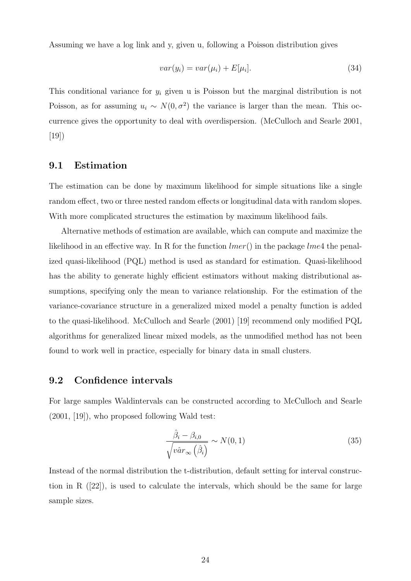Assuming we have a log link and y, given u, following a Poisson distribution gives

$$
var(y_i) = var(\mu_i) + E[\mu_i]. \tag{34}
$$

This conditional variance for  $y_i$  given u is Poisson but the marginal distribution is not Poisson, as for assuming  $u_i \sim N(0, \sigma^2)$  the variance is larger than the mean. This occurrence gives the opportunity to deal with overdispersion. (McCulloch and Searle 2001, [19])

#### 9.1 Estimation

The estimation can be done by maximum likelihood for simple situations like a single random effect, two or three nested random effects or longitudinal data with random slopes. With more complicated structures the estimation by maximum likelihood fails.

Alternative methods of estimation are available, which can compute and maximize the likelihood in an effective way. In R for the function  $lmer()$  in the package  $lme4$  the penalized quasi-likelihood (PQL) method is used as standard for estimation. Quasi-likelihood has the ability to generate highly efficient estimators without making distributional assumptions, specifying only the mean to variance relationship. For the estimation of the variance-covariance structure in a generalized mixed model a penalty function is added to the quasi-likelihood. McCulloch and Searle (2001) [19] recommend only modified PQL algorithms for generalized linear mixed models, as the unmodified method has not been found to work well in practice, especially for binary data in small clusters.

#### 9.2 Confidence intervals

For large samples Waldintervals can be constructed according to McCulloch and Searle (2001, [19]), who proposed following Wald test:

$$
\frac{\hat{\beta}_i - \beta_{i,0}}{\sqrt{v \hat{a} r_\infty \left(\hat{\beta}_i\right)}} \sim N(0,1)
$$
\n(35)

Instead of the normal distribution the t-distribution, default setting for interval construction in R  $([22])$ , is used to calculate the intervals, which should be the same for large sample sizes.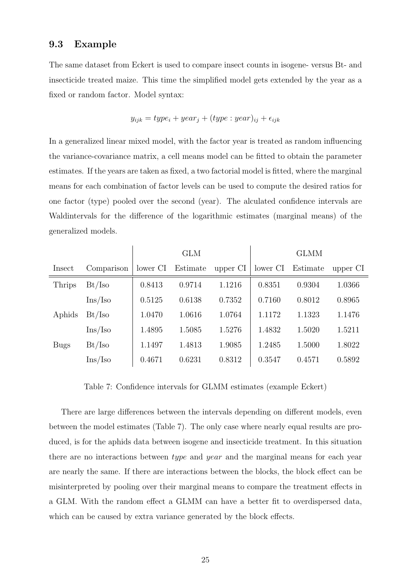#### 9.3 Example

The same dataset from Eckert is used to compare insect counts in isogene- versus Bt- and insecticide treated maize. This time the simplified model gets extended by the year as a fixed or random factor. Model syntax:

$$
y_{ijk} = type_i + year_j + (type : year)_{ij} + \epsilon_{ijk}
$$

In a generalized linear mixed model, with the factor year is treated as random influencing the variance-covariance matrix, a cell means model can be fitted to obtain the parameter estimates. If the years are taken as fixed, a two factorial model is fitted, where the marginal means for each combination of factor levels can be used to compute the desired ratios for one factor (type) pooled over the second (year). The alculated confidence intervals are Waldintervals for the difference of the logarithmic estimates (marginal means) of the generalized models.

|             |                     |          | <b>GLM</b> |          |          | <b>GLMM</b> |          |
|-------------|---------------------|----------|------------|----------|----------|-------------|----------|
| Insect      | Comparison          | lower CI | Estimate   | upper CI | lower CI | Estimate    | upper CI |
| Thrips      | Bt/Iso              | 0.8413   | 0.9714     | 1.1216   | 0.8351   | 0.9304      | 1.0366   |
|             | $\rm{Ins}/\rm{Iso}$ | 0.5125   | 0.6138     | 0.7352   | 0.7160   | 0.8012      | 0.8965   |
| Aphids      | Bt/Iso              | 1.0470   | 1.0616     | 1.0764   | 1.1172   | 1.1323      | 1.1476   |
|             | $\rm{Ins}/\rm{Iso}$ | 1.4895   | 1.5085     | 1.5276   | 1.4832   | 1.5020      | 1.5211   |
| <b>Bugs</b> | Bt/Iso              | 1.1497   | 1.4813     | 1.9085   | 1.2485   | 1.5000      | 1.8022   |
|             | Ins/Iso             | 0.4671   | 0.6231     | 0.8312   | 0.3547   | 0.4571      | 0.5892   |

Table 7: Confidence intervals for GLMM estimates (example Eckert)

There are large differences between the intervals depending on different models, even between the model estimates (Table 7). The only case where nearly equal results are produced, is for the aphids data between isogene and insecticide treatment. In this situation there are no interactions between type and year and the marginal means for each year are nearly the same. If there are interactions between the blocks, the block effect can be misinterpreted by pooling over their marginal means to compare the treatment effects in a GLM. With the random effect a GLMM can have a better fit to overdispersed data, which can be caused by extra variance generated by the block effects.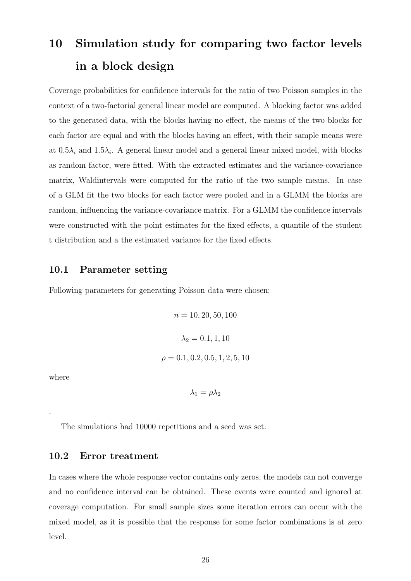# 10 Simulation study for comparing two factor levels in a block design

Coverage probabilities for confidence intervals for the ratio of two Poisson samples in the context of a two-factorial general linear model are computed. A blocking factor was added to the generated data, with the blocks having no effect, the means of the two blocks for each factor are equal and with the blocks having an effect, with their sample means were at  $0.5\lambda_i$  and  $1.5\lambda_i$ . A general linear model and a general linear mixed model, with blocks as random factor, were fitted. With the extracted estimates and the variance-covariance matrix, Waldintervals were computed for the ratio of the two sample means. In case of a GLM fit the two blocks for each factor were pooled and in a GLMM the blocks are random, influencing the variance-covariance matrix. For a GLMM the confidence intervals were constructed with the point estimates for the fixed effects, a quantile of the student t distribution and a the estimated variance for the fixed effects.

#### 10.1 Parameter setting

Following parameters for generating Poisson data were chosen:

$$
n = 10, 20, 50, 100
$$

$$
\lambda_2 = 0.1, 1, 10
$$

$$
\rho = 0.1, 0.2, 0.5, 1, 2, 5, 10
$$

where

.

$$
\lambda_1=\rho\lambda_2
$$

The simulations had 10000 repetitions and a seed was set.

#### 10.2 Error treatment

In cases where the whole response vector contains only zeros, the models can not converge and no confidence interval can be obtained. These events were counted and ignored at coverage computation. For small sample sizes some iteration errors can occur with the mixed model, as it is possible that the response for some factor combinations is at zero level.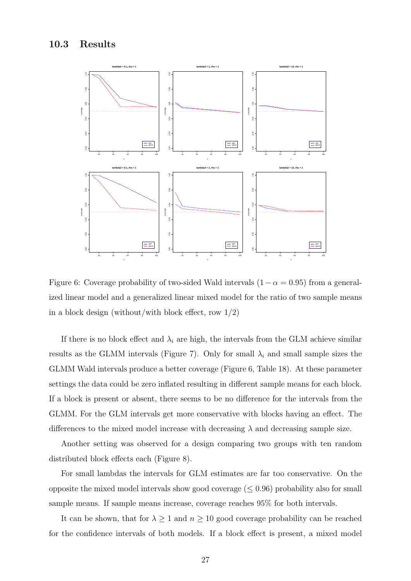#### 10.3 Results



Figure 6: Coverage probability of two-sided Wald intervals  $(1 - \alpha = 0.95)$  from a generalized linear model and a generalized linear mixed model for the ratio of two sample means in a block design (without/with block effect, row  $1/2$ )

If there is no block effect and  $\lambda_i$  are high, the intervals from the GLM achieve similar results as the GLMM intervals (Figure 7). Only for small  $\lambda_i$  and small sample sizes the GLMM Wald intervals produce a better coverage (Figure 6, Table 18). At these parameter settings the data could be zero inflated resulting in different sample means for each block. If a block is present or absent, there seems to be no difference for the intervals from the GLMM. For the GLM intervals get more conservative with blocks having an effect. The differences to the mixed model increase with decreasing  $\lambda$  and decreasing sample size.

Another setting was observed for a design comparing two groups with ten random distributed block effects each (Figure 8).

For small lambdas the intervals for GLM estimates are far too conservative. On the opposite the mixed model intervals show good coverage  $(\leq 0.96)$  probability also for small sample means. If sample means increase, coverage reaches 95% for both intervals.

It can be shown, that for  $\lambda \geq 1$  and  $n \geq 10$  good coverage probability can be reached for the confidence intervals of both models. If a block effect is present, a mixed model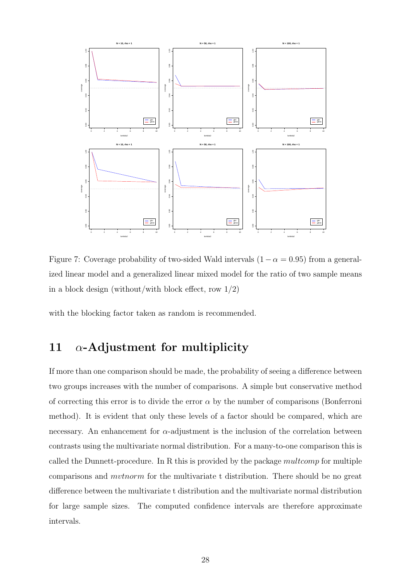

Figure 7: Coverage probability of two-sided Wald intervals  $(1 - \alpha = 0.95)$  from a generalized linear model and a generalized linear mixed model for the ratio of two sample means in a block design (without/with block effect, row  $1/2$ )

with the blocking factor taken as random is recommended.

# 11  $\alpha$ -Adjustment for multiplicity

If more than one comparison should be made, the probability of seeing a difference between two groups increases with the number of comparisons. A simple but conservative method of correcting this error is to divide the error  $\alpha$  by the number of comparisons (Bonferroni method). It is evident that only these levels of a factor should be compared, which are necessary. An enhancement for  $\alpha$ -adjustment is the inclusion of the correlation between contrasts using the multivariate normal distribution. For a many-to-one comparison this is called the Dunnett-procedure. In R this is provided by the package  $multcomp$  for multiple comparisons and mvtnorm for the multivariate t distribution. There should be no great difference between the multivariate t distribution and the multivariate normal distribution for large sample sizes. The computed confidence intervals are therefore approximate intervals.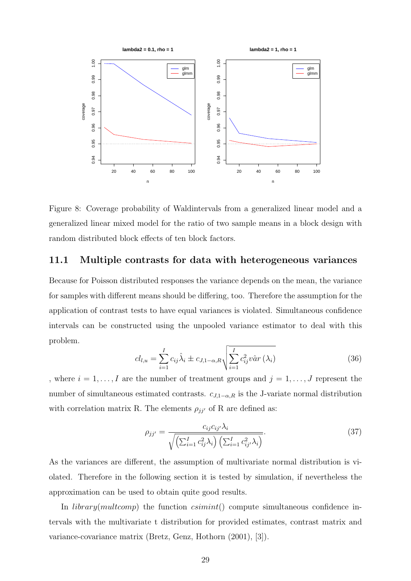

Figure 8: Coverage probability of Waldintervals from a generalized linear model and a generalized linear mixed model for the ratio of two sample means in a block design with random distributed block effects of ten block factors.

#### 11.1 Multiple contrasts for data with heterogeneous variances

Because for Poisson distributed responses the variance depends on the mean, the variance for samples with different means should be differing, too. Therefore the assumption for the application of contrast tests to have equal variances is violated. Simultaneous confidence intervals can be constructed using the unpooled variance estimator to deal with this problem.

$$
cl_{l,u} = \sum_{i=1}^{I} c_{ij} \hat{\lambda}_i \pm c_{J,1-\alpha,R} \sqrt{\sum_{i=1}^{I} c_{ij}^2 v \hat{a} r(\lambda_i)}
$$
(36)

, where  $i = 1, \ldots, I$  are the number of treatment groups and  $j = 1, \ldots, J$  represent the number of simultaneous estimated contrasts.  $c_{J,1-\alpha,R}$  is the J-variate normal distribution with correlation matrix R. The elements  $\rho_{jj'}$  of R are defined as:

$$
\rho_{jj'} = \frac{c_{ij}c_{ij'}\lambda_i}{\sqrt{\left(\sum_{i=1}^I c_{ij}^2 \lambda_i\right) \left(\sum_{i=1}^I c_{ij'}^2 \lambda_i\right)}}.
$$
\n(37)

As the variances are different, the assumption of multivariate normal distribution is violated. Therefore in the following section it is tested by simulation, if nevertheless the approximation can be used to obtain quite good results.

In *library(multcomp)* the function  $\epsilon \sin\text{int}(\epsilon)$  compute simultaneous confidence intervals with the multivariate t distribution for provided estimates, contrast matrix and variance-covariance matrix (Bretz, Genz, Hothorn (2001), [3]).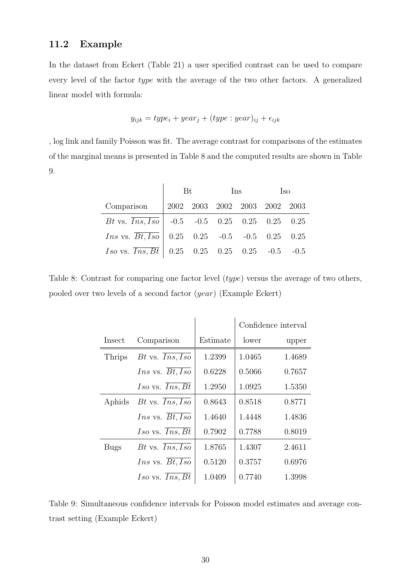#### 11.2 Example

In the dataset from Eckert (Table 21) a user specified contrast can be used to compare every level of the factor type with the average of the two other factors. A generalized linear model with formula:

$$
y_{ijk} = type_i + year_j + (type : year)_{ij} + \epsilon_{ijk}
$$

, log link and family Poisson was fit. The average contrast for comparisons of the estimates of the marginal means is presented in Table 8 and the computed results are shown in Table 9.

|                                                                     | <b>Bt</b> |  | Ins | Iso |  |  |
|---------------------------------------------------------------------|-----------|--|-----|-----|--|--|
| Comparison 2002 2003 2002 2003 2002 2003                            |           |  |     |     |  |  |
| Bt vs. $\overline{Ins, Iso}$   -0.5 -0.5 0.25 0.25 0.25 0.25        |           |  |     |     |  |  |
| <i>Ins</i> vs. $\overline{Bt, Iso}$   0.25 0.25 -0.5 -0.5 0.25 0.25 |           |  |     |     |  |  |
| <i>Iso</i> vs. $\overline{Ins, Bt}$   0.25 0.25 0.25 0.25 -0.5 -0.5 |           |  |     |     |  |  |

Table 8: Contrast for comparing one factor level (type) versus the average of two others, pooled over two levels of a second factor (year) (Example Eckert)

|             |                                     |          | Confidence interval |        |
|-------------|-------------------------------------|----------|---------------------|--------|
| Insect      | Comparison                          | Estimate | lower               | upper  |
| Thrips      | $Bt$ vs. $Ins, Iso$                 | 1.2399   | 1.0465              | 1.4689 |
|             | <i>Ins</i> vs. $\overline{Bt, Iso}$ | 0.6228   | 0.5066              | 0.7657 |
|             | $Iso$ vs. $Ins, Bt$                 | 1.2950   | 1.0925              | 1.5350 |
| Aphids      | Bt vs. $Ins, Iso$                   | 0.8643   | 0.8518              | 0.8771 |
|             | <i>Ins</i> vs. $Bt, Iso$            | 1.4640   | 1.4448              | 1.4836 |
|             | $Iso$ vs. $Ins, Bt$                 | 0.7902   | 0.7788              | 0.8019 |
| <b>Bugs</b> | $Bt$ vs. $Ins, Iso$                 | 1.8765   | 1.4307              | 2.4611 |
|             | <i>Ins</i> vs. $Bt, Iso$            | 0.5120   | 0.3757              | 0.6976 |
|             | $Iso$ vs. $Ins, Bt$                 | 1.0409   | 0.7740              | 1.3998 |

Table 9: Simultaneous confidence intervals for Poisson model estimates and average contrast setting (Example Eckert)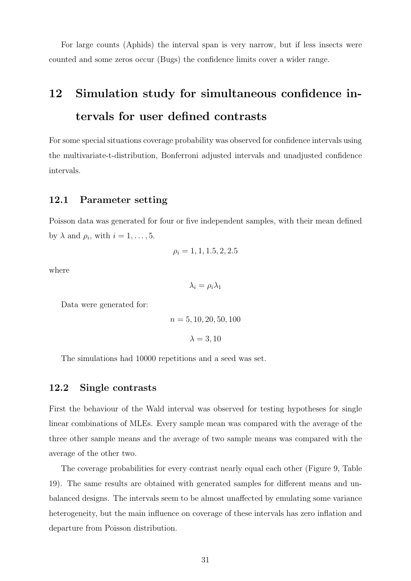For large counts (Aphids) the interval span is very narrow, but if less insects were counted and some zeros occur (Bugs) the confidence limits cover a wider range.

# 12 Simulation study for simultaneous confidence intervals for user defined contrasts

For some special situations coverage probability was observed for confidence intervals using the multivariate-t-distribution, Bonferroni adjusted intervals and unadjusted confidence intervals.

#### 12.1 Parameter setting

Poisson data was generated for four or five independent samples, with their mean defined by  $\lambda$  and  $\rho_i$ , with  $i = 1, \ldots, 5$ .

$$
\rho_i = 1, 1, 1.5, 2, 2.5
$$

where

 $\lambda_i = \rho_i \lambda_1$ 

Data were generated for:

$$
n = 5, 10, 20, 50, 100
$$

$$
\lambda = 3, 10
$$

The simulations had 10000 repetitions and a seed was set.

#### 12.2 Single contrasts

First the behaviour of the Wald interval was observed for testing hypotheses for single linear combinations of MLEs. Every sample mean was compared with the average of the three other sample means and the average of two sample means was compared with the average of the other two.

The coverage probabilities for every contrast nearly equal each other (Figure 9, Table 19). The same results are obtained with generated samples for different means and unbalanced designs. The intervals seem to be almost unaffected by emulating some variance heterogeneity, but the main influence on coverage of these intervals has zero inflation and departure from Poisson distribution.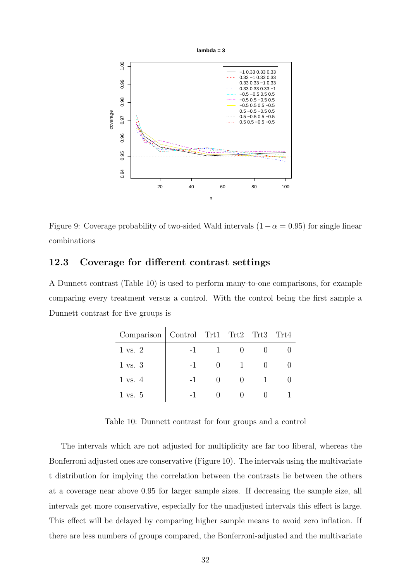

Figure 9: Coverage probability of two-sided Wald intervals  $(1 - \alpha = 0.95)$  for single linear combinations

#### 12.3 Coverage for different contrast settings

A Dunnett contrast (Table 10) is used to perform many-to-one comparisons, for example comparing every treatment versus a control. With the control being the first sample a Dunnett contrast for five groups is

| Comparison   Control Trt1 Trt2 Trt3 |      |  | $\mathrm{Tr}t4$ |
|-------------------------------------|------|--|-----------------|
| $1 \text{ vs. } 2$                  | $-1$ |  |                 |
| $1 \text{ vs. } 3$                  | $-1$ |  |                 |
| $1 \text{ vs. } 4$                  | $-1$ |  |                 |
| $1 \text{ vs. } 5$                  |      |  |                 |

Table 10: Dunnett contrast for four groups and a control

The intervals which are not adjusted for multiplicity are far too liberal, whereas the Bonferroni adjusted ones are conservative (Figure 10). The intervals using the multivariate t distribution for implying the correlation between the contrasts lie between the others at a coverage near above 0.95 for larger sample sizes. If decreasing the sample size, all intervals get more conservative, especially for the unadjusted intervals this effect is large. This effect will be delayed by comparing higher sample means to avoid zero inflation. If there are less numbers of groups compared, the Bonferroni-adjusted and the multivariate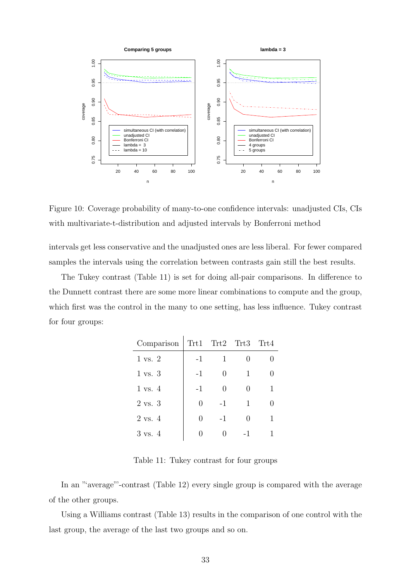

Figure 10: Coverage probability of many-to-one confidence intervals: unadjusted CIs, CIs with multivariate-t-distribution and adjusted intervals by Bonferroni method

intervals get less conservative and the unadjusted ones are less liberal. For fewer compared samples the intervals using the correlation between contrasts gain still the best results.

The Tukey contrast (Table 11) is set for doing all-pair comparisons. In difference to the Dunnett contrast there are some more linear combinations to compute and the group, which first was the control in the many to one setting, has less influence. Tukey contrast for four groups:

| Comparison         |                  | Trt1 Trt2 Trt3 Trt4 |                  |   |
|--------------------|------------------|---------------------|------------------|---|
| $1 \text{ vs. } 2$ | $-1$             | 1                   |                  |   |
| $1 \text{ vs. } 3$ | $-1$             | $\left( \right)$    | 1                |   |
| $1 \text{ vs. } 4$ | $-1$             |                     | $\left( \right)$ | 1 |
| 2 vs. 3            | 0                | $-1$                | 1                |   |
| $2 \text{ vs. } 4$ | $\left( \right)$ | $-1$                | $\mathcal{O}$    |   |
| 3 vs. 4            |                  |                     | - 1              |   |

Table 11: Tukey contrast for four groups

In an "average"'-contrast (Table 12) every single group is compared with the average of the other groups.

Using a Williams contrast (Table 13) results in the comparison of one control with the last group, the average of the last two groups and so on.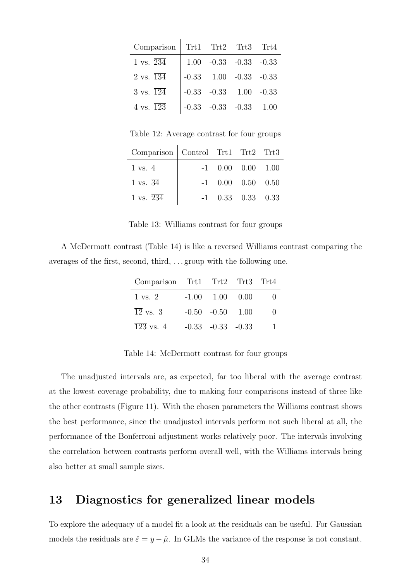| Comparison                      |  | Trt1 Trt2 Trt3 Trt4            |  |
|---------------------------------|--|--------------------------------|--|
| 1 vs. $\overline{234}$          |  | $1.00$ $-0.33$ $-0.33$ $-0.33$ |  |
| $2 \text{ vs. } \overline{134}$ |  | $-0.33$ $1.00$ $-0.33$ $-0.33$ |  |
| $3 \text{ vs. } \overline{124}$ |  | $-0.33$ $-0.33$ $1.00$ $-0.33$ |  |
| 4 vs. $\overline{123}$          |  | $-0.33 -0.33 -0.33 -1.00$      |  |

Table 12: Average contrast for four groups

| Comparison   Control Trt1 Trt2 Trt3 |  |                     |  |
|-------------------------------------|--|---------------------|--|
| $1 \text{ vs. } 4$                  |  | $-1$ 0.00 0.00 1.00 |  |
| 1 vs. $\overline{34}$               |  | $-1$ 0.00 0.50 0.50 |  |
| 1 vs. $\overline{234}$              |  | $-1$ 0.33 0.33 0.33 |  |

Table 13: Williams contrast for four groups

A McDermott contrast (Table 14) is like a reversed Williams contrast comparing the averages of the first, second, third, . . . group with the following one.

| Comparison Trt1 Trt2 Trt3 Trt4 |                        |  |
|--------------------------------|------------------------|--|
| 1 vs. 2                        | $-1.00$ $1.00$ $0.00$  |  |
| $\overline{12}$ vs. 3          | $-0.50$ $-0.50$ $1.00$ |  |
| $\overline{123}$ vs. 4         | $-0.33 -0.33 -0.33$    |  |

Table 14: McDermott contrast for four groups

The unadjusted intervals are, as expected, far too liberal with the average contrast at the lowest coverage probability, due to making four comparisons instead of three like the other contrasts (Figure 11). With the chosen parameters the Williams contrast shows the best performance, since the unadjusted intervals perform not such liberal at all, the performance of the Bonferroni adjustment works relatively poor. The intervals involving the correlation between contrasts perform overall well, with the Williams intervals being also better at small sample sizes.

# 13 Diagnostics for generalized linear models

To explore the adequacy of a model fit a look at the residuals can be useful. For Gaussian models the residuals are  $\hat{\varepsilon} = y - \hat{\mu}$ . In GLMs the variance of the response is not constant.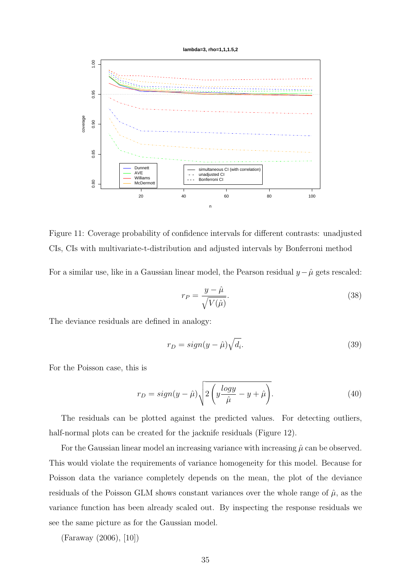



Figure 11: Coverage probability of confidence intervals for different contrasts: unadjusted CIs, CIs with multivariate-t-distribution and adjusted intervals by Bonferroni method

For a similar use, like in a Gaussian linear model, the Pearson residual  $y-\hat{\mu}$  gets rescaled:

$$
r_P = \frac{y - \hat{\mu}}{\sqrt{V(\hat{\mu})}}.\tag{38}
$$

The deviance residuals are defined in analogy:

$$
r_D = sign(y - \hat{\mu})\sqrt{d_i}.
$$
\n(39)

For the Poisson case, this is

$$
r_D = sign(y - \hat{\mu}) \sqrt{2 \left( y \frac{\log y}{\hat{\mu}} - y + \hat{\mu} \right)}.
$$
\n(40)

The residuals can be plotted against the predicted values. For detecting outliers, half-normal plots can be created for the jacknife residuals (Figure 12).

For the Gaussian linear model an increasing variance with increasing  $\hat{\mu}$  can be observed. This would violate the requirements of variance homogeneity for this model. Because for Poisson data the variance completely depends on the mean, the plot of the deviance residuals of the Poisson GLM shows constant variances over the whole range of  $\hat{\mu}$ , as the variance function has been already scaled out. By inspecting the response residuals we see the same picture as for the Gaussian model.

(Faraway (2006), [10])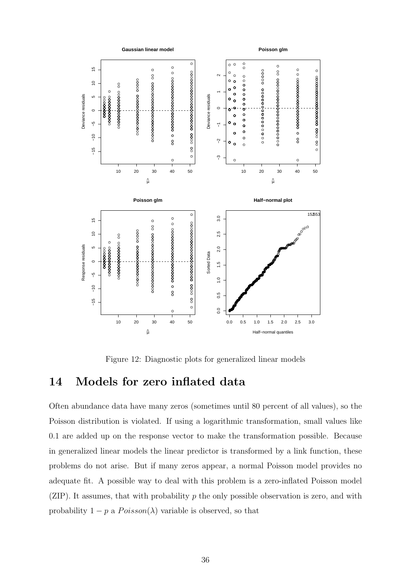

Figure 12: Diagnostic plots for generalized linear models

## 14 Models for zero inflated data

Often abundance data have many zeros (sometimes until 80 percent of all values), so the Poisson distribution is violated. If using a logarithmic transformation, small values like 0.1 are added up on the response vector to make the transformation possible. Because in generalized linear models the linear predictor is transformed by a link function, these problems do not arise. But if many zeros appear, a normal Poisson model provides no adequate fit. A possible way to deal with this problem is a zero-inflated Poisson model (ZIP). It assumes, that with probability  $p$  the only possible observation is zero, and with probability  $1 - p$  a  $Poisson(\lambda)$  variable is observed, so that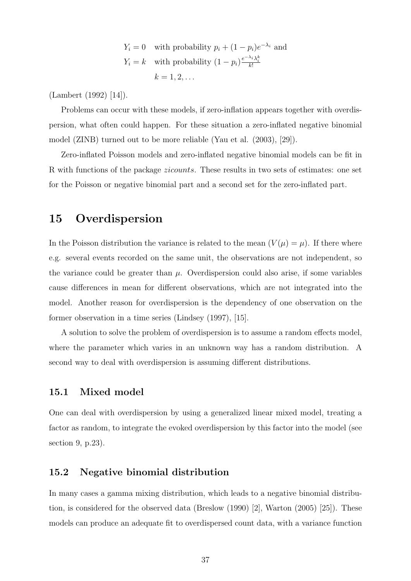$$
Y_i = 0
$$
 with probability  $p_i + (1 - p_i)e^{-\lambda_i}$  and  
\n $Y_i = k$  with probability  $(1 - p_i)\frac{e^{-\lambda_i}\lambda_i^k}{k!}$   
\n $k = 1, 2, ...$ 

(Lambert (1992) [14]).

Problems can occur with these models, if zero-inflation appears together with overdispersion, what often could happen. For these situation a zero-inflated negative binomial model (ZINB) turned out to be more reliable (Yau et al. (2003), [29]).

Zero-inflated Poisson models and zero-inflated negative binomial models can be fit in R with functions of the package zicounts. These results in two sets of estimates: one set for the Poisson or negative binomial part and a second set for the zero-inflated part.

## 15 Overdispersion

In the Poisson distribution the variance is related to the mean  $(V(\mu) = \mu)$ . If there where e.g. several events recorded on the same unit, the observations are not independent, so the variance could be greater than  $\mu$ . Overdispersion could also arise, if some variables cause differences in mean for different observations, which are not integrated into the model. Another reason for overdispersion is the dependency of one observation on the former observation in a time series (Lindsey (1997), [15].

A solution to solve the problem of overdispersion is to assume a random effects model, where the parameter which varies in an unknown way has a random distribution. A second way to deal with overdispersion is assuming different distributions.

#### 15.1 Mixed model

One can deal with overdispersion by using a generalized linear mixed model, treating a factor as random, to integrate the evoked overdispersion by this factor into the model (see section 9, p.23).

#### 15.2 Negative binomial distribution

In many cases a gamma mixing distribution, which leads to a negative binomial distribution, is considered for the observed data (Breslow (1990) [2], Warton (2005) [25]). These models can produce an adequate fit to overdispersed count data, with a variance function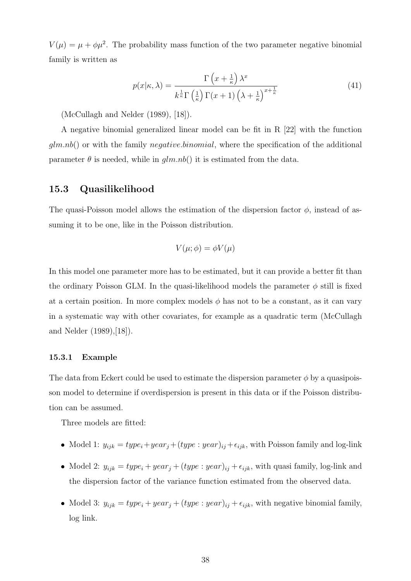$V(\mu) = \mu + \phi \mu^2$ . The probability mass function of the two parameter negative binomial family is written as

$$
p(x|\kappa,\lambda) = \frac{\Gamma\left(x + \frac{1}{\kappa}\right)\lambda^x}{k^{\frac{1}{\kappa}}\Gamma\left(\frac{1}{\kappa}\right)\Gamma(x+1)\left(\lambda + \frac{1}{\kappa}\right)^{x + \frac{1}{\kappa}}}
$$
(41)

(McCullagh and Nelder (1989), [18]).

A negative binomial generalized linear model can be fit in R [22] with the function  $g/m.nb()$  or with the family *negative.binomial*, where the specification of the additional parameter  $\theta$  is needed, while in  $qlm.nb$  it is estimated from the data.

#### 15.3 Quasilikelihood

The quasi-Poisson model allows the estimation of the dispersion factor  $\phi$ , instead of assuming it to be one, like in the Poisson distribution.

$$
V(\mu;\phi) = \phi V(\mu)
$$

In this model one parameter more has to be estimated, but it can provide a better fit than the ordinary Poisson GLM. In the quasi-likelihood models the parameter  $\phi$  still is fixed at a certain position. In more complex models  $\phi$  has not to be a constant, as it can vary in a systematic way with other covariates, for example as a quadratic term (McCullagh and Nelder (1989),[18]).

#### 15.3.1 Example

The data from Eckert could be used to estimate the dispersion parameter  $\phi$  by a quasipoisson model to determine if overdispersion is present in this data or if the Poisson distribution can be assumed.

Three models are fitted:

- Model 1:  $y_{ijk} = type_i + year_j + (type : year)_{ij} + \epsilon_{ijk}$ , with Poisson family and log-link
- Model 2:  $y_{ijk} = type_i + year_j + (type : year)_{ij} + \epsilon_{ijk}$ , with quasi family, log-link and the dispersion factor of the variance function estimated from the observed data.
- Model 3:  $y_{ijk} = type_i + year_j + (type : year)_{ij} + \epsilon_{ijk}$ , with negative binomial family, log link.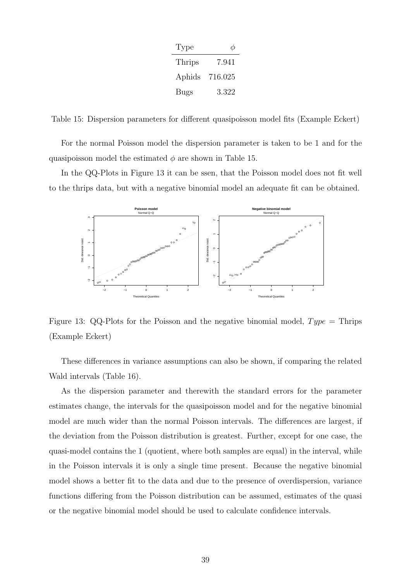| Type   |         |
|--------|---------|
| Thrips | 7.941   |
| Aphids | 716.025 |
| Bugs   | 3.322   |

Table 15: Dispersion parameters for different quasipoisson model fits (Example Eckert)

For the normal Poisson model the dispersion parameter is taken to be 1 and for the quasipoisson model the estimated  $\phi$  are shown in Table 15.

In the QQ-Plots in Figure 13 it can be ssen, that the Poisson model does not fit well to the thrips data, but with a negative binomial model an adequate fit can be obtained.



Figure 13: QQ-Plots for the Poisson and the negative binomial model,  $Type =$ Thrips (Example Eckert)

These differences in variance assumptions can also be shown, if comparing the related Wald intervals (Table 16).

As the dispersion parameter and therewith the standard errors for the parameter estimates change, the intervals for the quasipoisson model and for the negative binomial model are much wider than the normal Poisson intervals. The differences are largest, if the deviation from the Poisson distribution is greatest. Further, except for one case, the quasi-model contains the 1 (quotient, where both samples are equal) in the interval, while in the Poisson intervals it is only a single time present. Because the negative binomial model shows a better fit to the data and due to the presence of overdispersion, variance functions differing from the Poisson distribution can be assumed, estimates of the quasi or the negative binomial model should be used to calculate confidence intervals.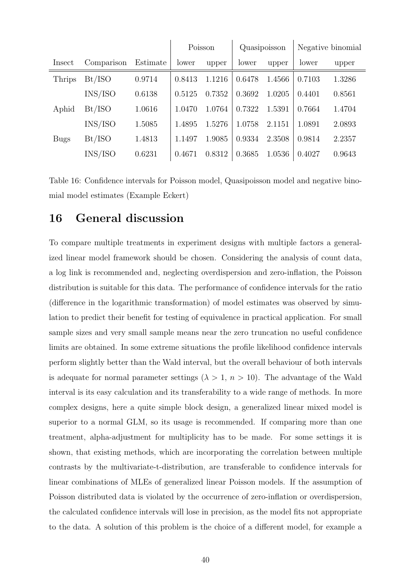|               |            |          | Poisson |        | Quasipoisson |        | Negative binomial |        |
|---------------|------------|----------|---------|--------|--------------|--------|-------------------|--------|
| Insect        | Comparison | Estimate | lower   | upper  | lower        | upper  | lower             | upper  |
| <b>Thrips</b> | Bt/ISO     | 0.9714   | 0.8413  | 1.1216 | 0.6478       | 1.4566 | 0.7103            | 1.3286 |
|               | INS/ISO    | 0.6138   | 0.5125  | 0.7352 | 0.3692       | 1.0205 | 0.4401            | 0.8561 |
| Aphid         | Bt/ISO     | 1.0616   | 1.0470  | 1.0764 | 0.7322       | 1.5391 | 0.7664            | 1.4704 |
|               | INS/ISO    | 1.5085   | 1.4895  | 1.5276 | 1.0758       | 2.1151 | 1.0891            | 2.0893 |
| <b>Bugs</b>   | Bt/ISO     | 1.4813   | 1.1497  | 1.9085 | 0.9334       | 2.3508 | 0.9814            | 2.2357 |
|               | INS/ISO    | 0.6231   | 0.4671  | 0.8312 | 0.3685       | 1.0536 | 0.4027            | 0.9643 |

Table 16: Confidence intervals for Poisson model, Quasipoisson model and negative binomial model estimates (Example Eckert)

## 16 General discussion

To compare multiple treatments in experiment designs with multiple factors a generalized linear model framework should be chosen. Considering the analysis of count data, a log link is recommended and, neglecting overdispersion and zero-inflation, the Poisson distribution is suitable for this data. The performance of confidence intervals for the ratio (difference in the logarithmic transformation) of model estimates was observed by simulation to predict their benefit for testing of equivalence in practical application. For small sample sizes and very small sample means near the zero truncation no useful confidence limits are obtained. In some extreme situations the profile likelihood confidence intervals perform slightly better than the Wald interval, but the overall behaviour of both intervals is adequate for normal parameter settings ( $\lambda > 1$ ,  $n > 10$ ). The advantage of the Wald interval is its easy calculation and its transferability to a wide range of methods. In more complex designs, here a quite simple block design, a generalized linear mixed model is superior to a normal GLM, so its usage is recommended. If comparing more than one treatment, alpha-adjustment for multiplicity has to be made. For some settings it is shown, that existing methods, which are incorporating the correlation between multiple contrasts by the multivariate-t-distribution, are transferable to confidence intervals for linear combinations of MLEs of generalized linear Poisson models. If the assumption of Poisson distributed data is violated by the occurrence of zero-inflation or overdispersion, the calculated confidence intervals will lose in precision, as the model fits not appropriate to the data. A solution of this problem is the choice of a different model, for example a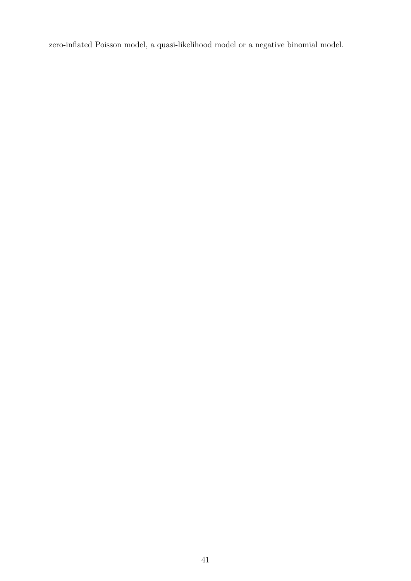zero-inflated Poisson model, a quasi-likelihood model or a negative binomial model.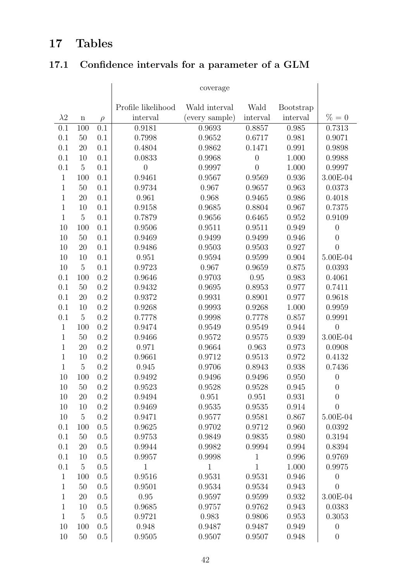# 17 Tables

# 17.1 Confidence intervals for a parameter of a GLM

|              |                |         | Profile likelihood | Wald interval  | Wald             | <b>Bootstrap</b> |                  |
|--------------|----------------|---------|--------------------|----------------|------------------|------------------|------------------|
| $\lambda 2$  | $\mathbf n$    | $\rho$  | interval           | (every sample) | interval         | interval         | $\% = 0$         |
| 0.1          | 100            | 0.1     | 0.9181             | 0.9693         | 0.8857           | 0.985            | 0.7313           |
| 0.1          | 50             | 0.1     | 0.7998             | 0.9652         | 0.6717           | 0.981            | 0.9071           |
| 0.1          | 20             | 0.1     | 0.4804             | 0.9862         | 0.1471           | 0.991            | 0.9898           |
| 0.1          | 10             | 0.1     | 0.0833             | 0.9968         | $\boldsymbol{0}$ | 1.000            | 0.9988           |
| 0.1          | $\overline{5}$ | 0.1     | $\boldsymbol{0}$   | 0.9997         | $\overline{0}$   | 1.000            | 0.9997           |
| $\mathbf{1}$ | 100            | 0.1     | 0.9461             | 0.9567         | 0.9569           | 0.936            | 3.00E-04         |
| $\mathbf{1}$ | 50             | 0.1     | 0.9734             | 0.967          | 0.9657           | 0.963            | 0.0373           |
| $\mathbf{1}$ | 20             | 0.1     | 0.961              | 0.968          | 0.9465           | 0.986            | 0.4018           |
| $\mathbf{1}$ | 10             | 0.1     | 0.9158             | 0.9685         | 0.8804           | 0.967            | 0.7375           |
| $\mathbf{1}$ | $\overline{5}$ | 0.1     | 0.7879             | 0.9656         | 0.6465           | 0.952            | 0.9109           |
| 10           | 100            | 0.1     | 0.9506             | 0.9511         | 0.9511           | 0.949            | $\boldsymbol{0}$ |
| 10           | 50             | 0.1     | 0.9469             | 0.9499         | 0.9499           | 0.946            | $\overline{0}$   |
| 10           | 20             | 0.1     | 0.9486             | 0.9503         | 0.9503           | 0.927            | $\overline{0}$   |
| 10           | 10             | 0.1     | 0.951              | 0.9594         | 0.9599           | 0.904            | 5.00E-04         |
| 10           | $\overline{5}$ | 0.1     | 0.9723             | 0.967          | 0.9659           | 0.875            | 0.0393           |
| 0.1          | 100            | 0.2     | 0.9646             | 0.9703         | 0.95             | 0.983            | 0.4061           |
| 0.1          | 50             | 0.2     | 0.9432             | 0.9695         | 0.8953           | 0.977            | 0.7411           |
| 0.1          | 20             | 0.2     | 0.9372             | 0.9931         | 0.8901           | 0.977            | 0.9618           |
| 0.1          | 10             | 0.2     | 0.9268             | 0.9993         | 0.9268           | 1.000            | 0.9959           |
| 0.1          | $\overline{5}$ | 0.2     | 0.7778             | 0.9998         | 0.7778           | 0.857            | 0.9991           |
| $\mathbf{1}$ | 100            | 0.2     | 0.9474             | 0.9549         | 0.9549           | 0.944            | $\overline{0}$   |
| $\mathbf{1}$ | 50             | 0.2     | 0.9466             | 0.9572         | 0.9575           | 0.939            | 3.00E-04         |
| $\mathbf{1}$ | 20             | 0.2     | 0.971              | 0.9664         | 0.963            | 0.973            | 0.0908           |
| $\mathbf{1}$ | 10             | 0.2     | 0.9661             | 0.9712         | 0.9513           | 0.972            | 0.4132           |
| $\mathbf{1}$ | $\overline{5}$ | 0.2     | 0.945              | 0.9706         | 0.8943           | 0.938            | 0.7436           |
| 10           | 100            | 0.2     | 0.9492             | 0.9496         | 0.9496           | 0.950            | $\boldsymbol{0}$ |
| 10           | 50             | 0.2     | 0.9523             | 0.9528         | 0.9528           | 0.945            | $\overline{0}$   |
| 10           | 20             | 0.2     | 0.9494             | 0.951          | 0.951            | 0.931            | $\overline{0}$   |
| 10           | 10             | 0.2     | 0.9469             | 0.9535         | 0.9535           | 0.914            | $\overline{0}$   |
| 10           | $\overline{5}$ | 0.2     | 0.9471             | 0.9577         | 0.9581           | 0.867            | 5.00E-04         |
| 0.1          | 100            | 0.5     | 0.9625             | 0.9702         | 0.9712           | 0.960            | 0.0392           |
| 0.1          | 50             | 0.5     | 0.9753             | 0.9849         | 0.9835           | 0.980            | 0.3194           |
| 0.1          | 20             | 0.5     | 0.9944             | 0.9982         | 0.9994           | 0.994            | 0.8394           |
| 0.1          | 10             | 0.5     | 0.9957             | 0.9998         | $\mathbf{1}$     | 0.996            | 0.9769           |
| 0.1          | $\overline{5}$ | 0.5     | $\mathbf{1}$       | $\mathbf{1}$   | $\mathbf 1$      | 1.000            | 0.9975           |
| $\mathbf{1}$ | 100            | 0.5     | 0.9516             | 0.9531         | 0.9531           | 0.946            | $\boldsymbol{0}$ |
| $\mathbf{1}$ | 50             | 0.5     | 0.9501             | 0.9534         | 0.9534           | 0.943            | $\boldsymbol{0}$ |
| $\mathbf{1}$ | 20             | 0.5     | 0.95               | 0.9597         | 0.9599           | 0.932            | 3.00E-04         |
| $\mathbf{1}$ | 10             | 0.5     | 0.9685             | 0.9757         | 0.9762           | 0.943            | 0.0383           |
| $\mathbf{1}$ | $\overline{5}$ | 0.5     | 0.9721             | 0.983          | 0.9806           | 0.953            | 0.3053           |
| 10           | 100            | 0.5     | 0.948              | 0.9487         | 0.9487           | 0.949            | $\boldsymbol{0}$ |
| 10           | $50\,$         | $0.5\,$ | 0.9505             | 0.9507         | 0.9507           | 0.948            | $\overline{0}$   |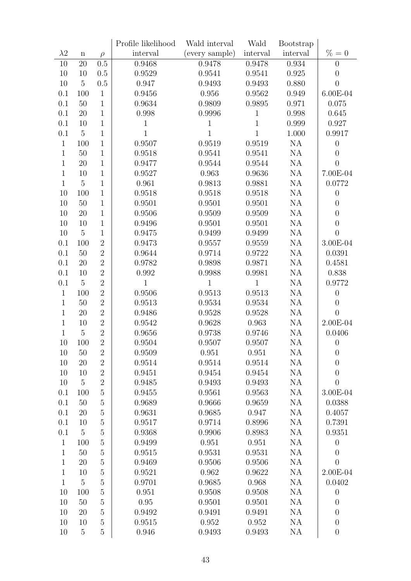|              |                |                | Profile likelihood | Wald interval  | Wald           | Bootstrap |                  |
|--------------|----------------|----------------|--------------------|----------------|----------------|-----------|------------------|
| $\lambda 2$  | $\mathbf n$    | $\rho$         | interval           | (every sample) | interval       | interval  | $\% = 0$         |
| 10           | 20             | 0.5            | 0.9468             | 0.9478         | 0.9478         | 0.934     | $\boldsymbol{0}$ |
| 10           | 10             | 0.5            | 0.9529             | 0.9541         | 0.9541         | 0.925     | $\theta$         |
| 10           | $\overline{5}$ | 0.5            | 0.947              | 0.9493         | 0.9493         | 0.880     | $\theta$         |
| 0.1          | 100            | $\mathbf{1}$   | 0.9456             | 0.956          | 0.9562         | 0.949     | 6.00E-04         |
| 0.1          | $50\,$         | $\mathbf{1}$   | 0.9634             | 0.9809         | 0.9895         | 0.971     | 0.075            |
| 0.1          | $20\,$         | $1\,$          | 0.998              | 0.9996         | $\mathbf 1$    | 0.998     | 0.645            |
| 0.1          | 10             | $\mathbf{1}$   | $1\,$              | $\mathbf{1}$   | $\mathbf{1}$   | 0.999     | 0.927            |
| 0.1          | $\overline{5}$ | $\mathbf{1}$   | $\mathbf{1}$       | $\mathbf{1}$   | $\overline{1}$ | 1.000     | 0.9917           |
| $\mathbf{1}$ | 100            | $\mathbf{1}$   | 0.9507             | 0.9519         | 0.9519         | NA        | $\theta$         |
| $\mathbf{1}$ | 50             | $\mathbf{1}$   | 0.9518             | 0.9541         | 0.9541         | NA        | $\theta$         |
| $\mathbf 1$  | 20             | $\mathbf{1}$   | 0.9477             | 0.9544         | 0.9544         | NA        | $\theta$         |
| $\mathbf{1}$ | 10             | $\mathbf{1}$   | 0.9527             | 0.963          | 0.9636         | NA        | 7.00E-04         |
| $\mathbf{1}$ | $\mathbf 5$    | $\mathbf{1}$   | 0.961              | 0.9813         | 0.9881         | NA        | 0.0772           |
| 10           | 100            | $\mathbf{1}$   | 0.9518             | 0.9518         | 0.9518         | NA        | $\theta$         |
| 10           | $50\,$         | $\mathbf{1}$   | 0.9501             | 0.9501         | 0.9501         | NA        | $\boldsymbol{0}$ |
| 10           | 20             | $\mathbf{1}$   | 0.9506             | 0.9509         | 0.9509         | NA        | $\theta$         |
| 10           | 10             | $\mathbf{1}$   | 0.9496             | 0.9501         | 0.9501         | NA        | $\boldsymbol{0}$ |
| 10           | $\mathbf 5$    | $\mathbf{1}$   | 0.9475             | 0.9499         | 0.9499         | <b>NA</b> | $\overline{0}$   |
| 0.1          | 100            | $\overline{2}$ | 0.9473             | 0.9557         | 0.9559         | <b>NA</b> | 3.00E-04         |
| 0.1          | $50\,$         | $\overline{2}$ | 0.9644             | 0.9714         | 0.9722         | NA        | 0.0391           |
| 0.1          | 20             | $\overline{2}$ | 0.9782             | 0.9898         | 0.9871         | NA        | 0.4581           |
| 0.1          | 10             | $\overline{2}$ | 0.992              | 0.9988         | 0.9981         | <b>NA</b> | 0.838            |
| 0.1          | $\overline{5}$ | $\overline{2}$ | $\mathbf{1}$       | $\mathbf{1}$   | $\mathbf{1}$   | <b>NA</b> | 0.9772           |
| $\mathbf{1}$ | 100            | $\overline{2}$ | 0.9506             | 0.9513         | 0.9513         | <b>NA</b> | $\theta$         |
| $\mathbf{1}$ | $50\,$         | $\overline{2}$ | 0.9513             | 0.9534         | 0.9534         | NA        | $\theta$         |
| $\mathbf{1}$ | 20             | $\overline{2}$ | 0.9486             | 0.9528         | 0.9528         | NA        | $\overline{0}$   |
| $\mathbf{1}$ | 10             | $\overline{2}$ | 0.9542             | 0.9628         | 0.963          | NA        | 2.00E-04         |
| $\mathbf{1}$ | $\bf 5$        | $\overline{2}$ | 0.9656             | 0.9738         | 0.9746         | NA        | 0.0406           |
| 10           | 100            | $\overline{2}$ | 0.9504             | 0.9507         | 0.9507         | NA        | $\boldsymbol{0}$ |
| 10           | 50             | $\overline{2}$ | 0.9509             | 0.951          | 0.951          | NA        | $\overline{0}$   |
| 10           | 20             | $\overline{2}$ | 0.9514             | 0.9514         | 0.9514         | NA        | $\boldsymbol{0}$ |
| 10           | 10             | $\overline{2}$ | 0.9451             | 0.9454         | 0.9454         | NA        | $\boldsymbol{0}$ |
| 10           | $\mathbf 5$    | $\overline{2}$ | 0.9485             | 0.9493         | 0.9493         | <b>NA</b> | $\overline{0}$   |
| 0.1          | 100            | $\overline{5}$ | 0.9455             | 0.9561         | 0.9563         | NA        | 3.00E-04         |
| 0.1          | $50\,$         | $\overline{5}$ | 0.9689             | 0.9666         | 0.9659         | NA        | 0.0388           |
| 0.1          | 20             | $\overline{5}$ | 0.9631             | 0.9685         | 0.947          | NA        | 0.4057           |
| 0.1          | 10             | $\overline{5}$ | 0.9517             | 0.9714         | 0.8996         | NA        | 0.7391           |
| 0.1          | $\mathbf 5$    | $\overline{5}$ | 0.9368             | 0.9906         | 0.8983         | NA        | 0.9351           |
| $\mathbf{1}$ | 100            | $\overline{5}$ | 0.9499             | 0.951          | 0.951          | NA        | $\theta$         |
| $\mathbf{1}$ | $50\,$         | $\overline{5}$ | 0.9515             | 0.9531         | 0.9531         | NA        | $\overline{0}$   |
| $\mathbf{1}$ | 20             | $\overline{5}$ | 0.9469             | 0.9506         | 0.9506         | NA        | $\overline{0}$   |
| $\mathbf{1}$ | 10             | $\overline{5}$ | 0.9521             | 0.962          | 0.9622         | NA        | 2.00E-04         |
| $\mathbf{1}$ | $\overline{5}$ | $\overline{5}$ | 0.9701             | 0.9685         | 0.968          | NA        | 0.0402           |
| 10           | 100            | $\overline{5}$ | 0.951              | 0.9508         | 0.9508         | NA        | $\boldsymbol{0}$ |
| 10           | 50             | $\overline{5}$ | 0.95               | 0.9501         | 0.9501         | NA        | $\overline{0}$   |
| 10           | 20             | $\overline{5}$ | 0.9492             | 0.9491         | 0.9491         | NA        | $\boldsymbol{0}$ |
| 10           | 10             | $\overline{5}$ | 0.9515             | 0.952          | 0.952          | <b>NA</b> | $\theta$         |
| 10           | $\overline{5}$ | $\overline{5}$ | 0.946              | 0.9493         | 0.9493         | NA        | $\boldsymbol{0}$ |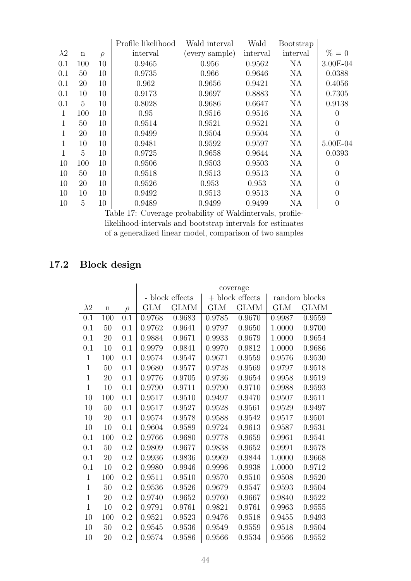|              |             |        | Profile likelihood | Wald interval  |          | <b>Bootstrap</b> |          |
|--------------|-------------|--------|--------------------|----------------|----------|------------------|----------|
| $\lambda 2$  | $\mathbf n$ | $\rho$ | interval           | (every sample) | interval | interval         | $\% = 0$ |
| 0.1          | 100         | 10     | 0.9465             | 0.956          | 0.9562   | <b>NA</b>        | 3.00E-04 |
| 0.1          | 50          | 10     | 0.9735             | 0.966          | 0.9646   | <b>NA</b>        | 0.0388   |
| 0.1          | 20          | 10     | 0.962              | 0.9656         | 0.9421   | NA               | 0.4056   |
| 0.1          | 10          | 10     | 0.9173             | 0.9697         | 0.8883   | <b>NA</b>        | 0.7305   |
| 0.1          | 5           | 10     | 0.8028             | 0.9686         | 0.6647   | <b>NA</b>        | 0.9138   |
| 1            | 100         | 10     | 0.95               | 0.9516         | 0.9516   | <b>NA</b>        | $\theta$ |
| $\mathbf 1$  | 50          | 10     | 0.9514             | 0.9521         | 0.9521   | <b>NA</b>        | $\theta$ |
| 1            | 20          | 10     | 0.9499             | 0.9504         | 0.9504   | <b>NA</b>        | $\theta$ |
| $\mathbf{1}$ | 10          | 10     | 0.9481             | 0.9592         | 0.9597   | <b>NA</b>        | 5.00E-04 |
| $\mathbf{1}$ | 5           | 10     | 0.9725             | 0.9658         | 0.9644   | <b>NA</b>        | 0.0393   |
| 10           | 100         | 10     | 0.9506             | 0.9503         | 0.9503   | <b>NA</b>        | $\theta$ |
| 10           | 50          | 10     | 0.9518             | 0.9513         | 0.9513   | <b>NA</b>        | $\theta$ |
| 10           | 20          | 10     | 0.9526             | 0.953          | 0.953    | <b>NA</b>        | $\theta$ |
| 10           | 10          | 10     | 0.9492             | 0.9513         | 0.9513   | <b>NA</b>        | $\theta$ |
| 10           | 5           | 10     | 0.9489             | 0.9499         | 0.9499   | <b>NA</b>        | $\theta$ |

Table 17: Coverage probability of Waldintervals, profilelikelihood-intervals and bootstrap intervals for estimates of a generalized linear model, comparison of two samples

# 17.2 Block design

|              |             |         | coverage   |                 |            |                   |               |             |  |
|--------------|-------------|---------|------------|-----------------|------------|-------------------|---------------|-------------|--|
|              |             |         |            | - block effects |            | $+$ block effects | random blocks |             |  |
| $\lambda$ 2  | $\mathbf n$ | $\rho$  | <b>GLM</b> | <b>GLMM</b>     | <b>GLM</b> | <b>GLMM</b>       | <b>GLM</b>    | <b>GLMM</b> |  |
| 0.1          | 100         | 0.1     | 0.9768     | 0.9683          | 0.9785     | 0.9670            | 0.9987        | 0.9559      |  |
| 0.1          | 50          | 0.1     | 0.9762     | 0.9641          | 0.9797     | 0.9650            | 1.0000        | 0.9700      |  |
| 0.1          | 20          | 0.1     | 0.9884     | 0.9671          | 0.9933     | 0.9679            | 1.0000        | 0.9654      |  |
| 0.1          | 10          | 0.1     | 0.9979     | 0.9841          | 0.9970     | 0.9812            | 1.0000        | 0.9686      |  |
| $\mathbf{1}$ | 100         | 0.1     | 0.9574     | 0.9547          | 0.9671     | 0.9559            | 0.9576        | 0.9530      |  |
| $\mathbf{1}$ | 50          | 0.1     | 0.9680     | 0.9577          | 0.9728     | 0.9569            | 0.9797        | 0.9518      |  |
| $\mathbf{1}$ | 20          | 0.1     | 0.9776     | 0.9705          | 0.9736     | 0.9654            | 0.9958        | 0.9519      |  |
| $\mathbf{1}$ | 10          | 0.1     | 0.9790     | 0.9711          | 0.9790     | 0.9710            | 0.9988        | 0.9593      |  |
| 10           | 100         | 0.1     | 0.9517     | 0.9510          | 0.9497     | 0.9470            | 0.9507        | 0.9511      |  |
| 10           | 50          | 0.1     | 0.9517     | 0.9527          | 0.9528     | 0.9561            | 0.9529        | 0.9497      |  |
| 10           | 20          | 0.1     | 0.9574     | 0.9578          | 0.9588     | 0.9542            | 0.9517        | 0.9501      |  |
| 10           | 10          | 0.1     | 0.9604     | 0.9589          | 0.9724     | 0.9613            | 0.9587        | 0.9531      |  |
| 0.1          | 100         | 0.2     | 0.9766     | 0.9680          | 0.9778     | 0.9659            | 0.9961        | 0.9541      |  |
| 0.1          | 50          | 0.2     | 0.9809     | 0.9677          | 0.9838     | 0.9652            | 0.9991        | 0.9578      |  |
| 0.1          | 20          | 0.2     | 0.9936     | 0.9836          | 0.9969     | 0.9844            | 1.0000        | 0.9668      |  |
| 0.1          | 10          | 0.2     | 0.9980     | 0.9946          | 0.9996     | 0.9938            | 1.0000        | 0.9712      |  |
| $\mathbf{1}$ | 100         | 0.2     | 0.9511     | 0.9510          | 0.9570     | 0.9510            | 0.9508        | 0.9520      |  |
| $\mathbf{1}$ | 50          | 0.2     | 0.9536     | 0.9526          | 0.9679     | 0.9547            | 0.9593        | 0.9504      |  |
| $\mathbf{1}$ | 20          | $0.2\,$ | 0.9740     | 0.9652          | 0.9760     | 0.9667            | 0.9840        | 0.9522      |  |
| $\mathbf{1}$ | 10          | 0.2     | 0.9791     | 0.9761          | 0.9821     | 0.9761            | 0.9963        | 0.9555      |  |
| 10           | 100         | 0.2     | 0.9521     | 0.9523          | 0.9476     | 0.9518            | 0.9455        | 0.9493      |  |
| 10           | 50          | 0.2     | 0.9545     | 0.9536          | 0.9549     | 0.9559            | 0.9518        | 0.9504      |  |
| 10           | 20          | 0.2     | 0.9574     | 0.9586          | 0.9566     | 0.9534            | 0.9566        | 0.9552      |  |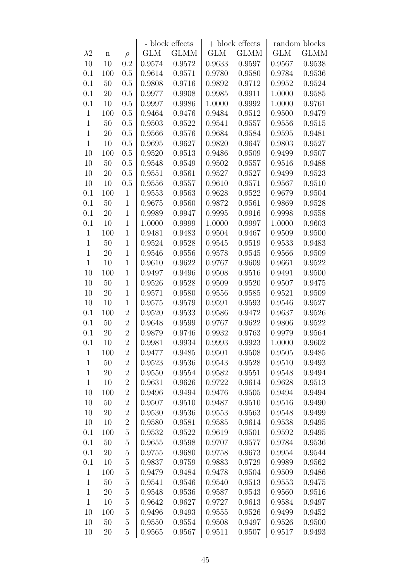|              |             |                  |        | - block effects |        | $+$ block effects | random blocks |             |
|--------------|-------------|------------------|--------|-----------------|--------|-------------------|---------------|-------------|
| $\lambda$ 2  | $\mathbf n$ | $\rho$           | GLM    | <b>GLMM</b>     | GLM    | <b>GLMM</b>       | <b>GLM</b>    | <b>GLMM</b> |
| 10           | 10          | 0.2              | 0.9574 | 0.9572          | 0.9633 | 0.9597            | 0.9567        | 0.9538      |
| 0.1          | 100         | 0.5              | 0.9614 | 0.9571          | 0.9780 | 0.9580            | 0.9784        | 0.9536      |
| 0.1          | $50\,$      | 0.5              | 0.9808 | 0.9716          | 0.9892 | 0.9712            | 0.9952        | 0.9524      |
| 0.1          | $20\,$      | 0.5              | 0.9977 | 0.9908          | 0.9985 | 0.9911            | 1.0000        | 0.9585      |
| $0.1\,$      | 10          | 0.5              | 0.9997 | 0.9986          | 1.0000 | 0.9992            | 1.0000        | 0.9761      |
| $\mathbf{1}$ | 100         | 0.5              | 0.9464 | 0.9476          | 0.9484 | 0.9512            | 0.9500        | 0.9479      |
| $1\,$        | $50\,$      | 0.5              | 0.9503 | 0.9522          | 0.9541 | 0.9557            | $0.9556\,$    | 0.9515      |
| $1\,$        | $20\,$      | 0.5              | 0.9566 | 0.9576          | 0.9684 | 0.9584            | 0.9595        | 0.9481      |
| $\mathbf{1}$ | 10          | 0.5              | 0.9695 | 0.9627          | 0.9820 | 0.9647            | 0.9803        | 0.9527      |
| 10           | 100         | 0.5              | 0.9520 | 0.9513          | 0.9486 | 0.9509            | 0.9499        | 0.9507      |
| 10           | $50\,$      | 0.5              | 0.9548 | 0.9549          | 0.9502 | 0.9557            | 0.9516        | 0.9488      |
| 10           | $20\,$      | 0.5              | 0.9551 | 0.9561          | 0.9527 | 0.9527            | 0.9499        | 0.9523      |
| 10           | 10          | 0.5              | 0.9556 | 0.9557          | 0.9610 | 0.9571            | 0.9567        | 0.9510      |
| 0.1          | 100         | $\mathbf{1}$     | 0.9553 | 0.9563          | 0.9628 | 0.9522            | 0.9679        | 0.9504      |
| 0.1          | $50\,$      | $\mathbf{1}$     | 0.9675 | 0.9560          | 0.9872 | 0.9561            | 0.9869        | 0.9528      |
| 0.1          | 20          | $\mathbf{1}$     | 0.9989 | 0.9947          | 0.9995 | 0.9916            | 0.9998        | 0.9558      |
| 0.1          | 10          | $\mathbf{1}$     | 1.0000 | 0.9999          | 1.0000 | 0.9997            | 1.0000        | 0.9603      |
| $1\,$        | 100         | $\mathbf{1}$     | 0.9481 | 0.9483          | 0.9504 | 0.9467            | 0.9509        | 0.9500      |
| $\mathbf{1}$ | $50\,$      | $\mathbf{1}$     | 0.9524 | 0.9528          | 0.9545 | 0.9519            | 0.9533        | 0.9483      |
| $1\,$        | $20\,$      | $\mathbf{1}$     | 0.9546 | 0.9556          | 0.9578 | 0.9545            | 0.9566        | 0.9509      |
| $1\,$        | 10          | $\mathbf{1}$     | 0.9610 | 0.9622          | 0.9767 | 0.9609            | 0.9661        | 0.9522      |
| 10           | 100         | $\mathbf{1}$     | 0.9497 | 0.9496          | 0.9508 | 0.9516            | 0.9491        | 0.9500      |
| 10           | $50\,$      | $\mathbf{1}$     | 0.9526 | 0.9528          | 0.9509 | 0.9520            | 0.9507        | 0.9475      |
| 10           | 20          | $\mathbf{1}$     | 0.9571 | 0.9580          | 0.9556 | 0.9585            | 0.9521        | 0.9509      |
| 10           | 10          | $\mathbf{1}$     | 0.9575 | 0.9579          | 0.9591 | 0.9593            | 0.9546        | 0.9527      |
| 0.1          | 100         | $\boldsymbol{2}$ | 0.9520 | 0.9533          | 0.9586 | 0.9472            | 0.9637        | 0.9526      |
| 0.1          | $50\,$      | $\sqrt{2}$       | 0.9648 | 0.9599          | 0.9767 | 0.9622            | 0.9806        | 0.9522      |
| 0.1          | 20          | $\overline{2}$   | 0.9879 | 0.9746          | 0.9932 | 0.9763            | 0.9979        | 0.9564      |
| 0.1          | 10          | $\overline{2}$   | 0.9981 | 0.9934          | 0.9993 | 0.9923            | 1.0000        | 0.9602      |
| $\mathbf{1}$ | 100         | $\overline{2}$   | 0.9477 | 0.9485          | 0.9501 | 0.9508            | 0.9505        | 0.9485      |
| $\mathbf{1}$ | $50\,$      | $\overline{2}$   | 0.9523 | 0.9536          | 0.9543 | 0.9528            | 0.9510        | 0.9493      |
| $1\,$        | $20\,$      | $\boldsymbol{2}$ | 0.9550 | 0.9554          | 0.9582 | 0.9551            | 0.9548        | 0.9494      |
| $\mathbf{1}$ | 10          | $\overline{2}$   | 0.9631 | 0.9626          | 0.9722 | 0.9614            | 0.9628        | 0.9513      |
| 10           | 100         | $\overline{2}$   | 0.9496 | 0.9494          | 0.9476 | 0.9505            | 0.9494        | 0.9494      |
| 10           | $50\,$      | $\boldsymbol{2}$ | 0.9507 | 0.9510          | 0.9487 | 0.9510            | 0.9516        | 0.9490      |
| 10           | $20\,$      | $\boldsymbol{2}$ | 0.9530 | 0.9536          | 0.9553 | 0.9563            | 0.9548        | 0.9499      |
| 10           | 10          | $\overline{2}$   | 0.9580 | 0.9581          | 0.9585 | 0.9614            | 0.9538        | 0.9495      |
| 0.1          | 100         | $\bf 5$          | 0.9532 | 0.9522          | 0.9619 | 0.9501            | 0.9592        | 0.9495      |
| 0.1          | $50\,$      | $\bf 5$          | 0.9655 | 0.9598          | 0.9707 | 0.9577            | 0.9784        | 0.9536      |
| 0.1          | 20          | $\mathbf 5$      | 0.9755 | 0.9680          | 0.9758 | 0.9673            | 0.9954        | 0.9544      |
| 0.1          | 10          | $\bf 5$          | 0.9837 | 0.9759          | 0.9883 | 0.9729            | 0.9989        | 0.9562      |
| $\mathbf{1}$ | 100         | $\bf 5$          | 0.9479 | 0.9484          | 0.9478 | 0.9504            | 0.9509        | 0.9486      |
| $\mathbf{1}$ | 50          | $\bf 5$          | 0.9541 | 0.9546          | 0.9540 | 0.9513            | 0.9553        | 0.9475      |
| $1\,$        | $20\,$      | $\bf 5$          | 0.9548 | 0.9536          | 0.9587 | 0.9543            | 0.9560        | 0.9516      |
| $\mathbf{1}$ | 10          | $\overline{5}$   | 0.9642 | 0.9627          | 0.9727 | 0.9613            | 0.9584        | 0.9497      |
| 10           | 100         | $\bf 5$          | 0.9496 | 0.9493          | 0.9555 | 0.9526            | 0.9499        | 0.9452      |
| 10           | $50\,$      | $\bf 5$          | 0.9550 | 0.9554          | 0.9508 | 0.9497            | 0.9526        | 0.9500      |
| 10           | $20\,$      | $\bf 5$          | 0.9565 | 0.9567          | 0.9511 | 0.9507            | 0.9517        | 0.9493      |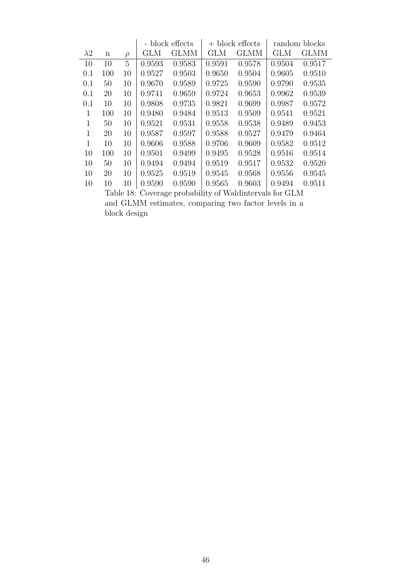|              |                                                            |        | - block effects |             |            | $+$ block effects | random blocks |             |  |  |
|--------------|------------------------------------------------------------|--------|-----------------|-------------|------------|-------------------|---------------|-------------|--|--|
| $\lambda$ 2  | $\mathbf n$                                                | $\rho$ | <b>GLM</b>      | <b>GLMM</b> | <b>GLM</b> | <b>GLMM</b>       | <b>GLM</b>    | <b>GLMM</b> |  |  |
| 10           | 10                                                         | 5      | 0.9593          | 0.9583      | 0.9591     | 0.9578            | 0.9504        | 0.9517      |  |  |
| 0.1          | 100                                                        | 10     | 0.9527          | 0.9503      | 0.9650     | 0.9504            | 0.9605        | 0.9510      |  |  |
| 0.1          | 50                                                         | 10     | 0.9670          | 0.9589      | 0.9725     | 0.9590            | 0.9790        | 0.9535      |  |  |
| 0.1          | 20                                                         | 10     | 0.9741          | 0.9659      | 0.9724     | 0.9653            | 0.9962        | 0.9539      |  |  |
| 0.1          | 10                                                         | 10     | 0.9808          | 0.9735      | 0.9821     | 0.9699            | 0.9987        | 0.9572      |  |  |
| 1            | 100                                                        | 10     | 0.9480          | 0.9484      | 0.9513     | 0.9509            | 0.9541        | 0.9521      |  |  |
| $\mathbf{1}$ | 50                                                         | 10     | 0.9521          | 0.9531      | 0.9558     | 0.9538            | 0.9489        | 0.9453      |  |  |
| $\mathbf{1}$ | 20                                                         | 10     | 0.9587          | 0.9597      | 0.9588     | 0.9527            | 0.9479        | 0.9464      |  |  |
| $\mathbf{1}$ | 10                                                         | 10     | 0.9606          | 0.9588      | 0.9706     | 0.9609            | 0.9582        | 0.9512      |  |  |
| 10           | 100                                                        | 10     | 0.9501          | 0.9499      | 0.9495     | 0.9528            | 0.9516        | 0.9514      |  |  |
| 10           | 50                                                         | 10     | 0.9494          | 0.9494      | 0.9519     | 0.9517            | 0.9532        | 0.9520      |  |  |
| 10           | 20                                                         | 10     | 0.9525          | 0.9519      | 0.9545     | 0.9568            | 0.9556        | 0.9545      |  |  |
| 10           | 10                                                         | 10     | 0.9590          | 0.9590      | 0.9565     | 0.9603            | 0.9494        | 0.9511      |  |  |
|              | Coverage probability of Waldintervals for GLM<br>Table 18: |        |                 |             |            |                   |               |             |  |  |

Table 18: Coverage probability of Waldintervals for GLM and GLMM estimates, comparing two factor levels in a block design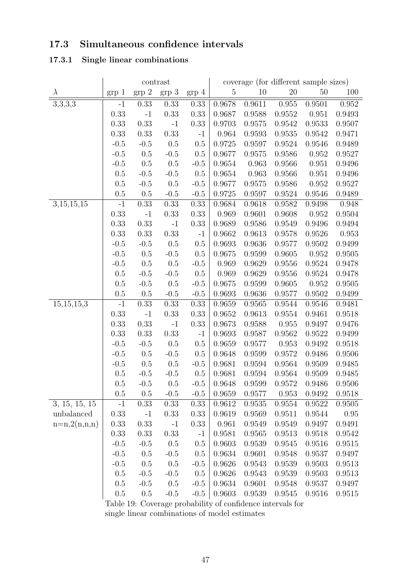# 17.3 Simultaneous confidence intervals

# 17.3.1 Single linear combinations

|                       | contrast       |                   |        |                | coverage (for different sample sizes) |        |            |            |        |
|-----------------------|----------------|-------------------|--------|----------------|---------------------------------------|--------|------------|------------|--------|
| $\lambda$             | $_{\rm grp}$ 1 | $\mathrm{grp}\ 2$ | grp 3  | $_{\rm grp}$ 4 | 5                                     | 10     | $20\,$     | 50         | 100    |
| $\overline{3,3,3}$ ,3 | $-1$           | 0.33              | 0.33   | 0.33           | 0.9678                                | 0.9611 | 0.955      | 0.9501     | 0.952  |
|                       | 0.33           | $-1$              | 0.33   | 0.33           | 0.9687                                | 0.9588 | 0.9552     | 0.951      | 0.9493 |
|                       | 0.33           | 0.33              | $-1$   | 0.33           | 0.9703                                | 0.9575 | 0.9542     | 0.9533     | 0.9507 |
|                       | 0.33           | 0.33              | 0.33   | $-1$           | 0.964                                 | 0.9593 | $0.9535\,$ | 0.9542     | 0.9471 |
|                       | $-0.5$         | $-0.5$            | 0.5    | 0.5            | 0.9725                                | 0.9597 | 0.9524     | 0.9546     | 0.9489 |
|                       | $-0.5\,$       | 0.5               | $-0.5$ | 0.5            | 0.9677                                | 0.9575 | 0.9586     | 0.952      | 0.9527 |
|                       | $-0.5$         | 0.5               | 0.5    | $-0.5$         | 0.9654                                | 0.963  | 0.9566     | 0.951      | 0.9496 |
|                       | 0.5            | $-0.5$            | $-0.5$ | 0.5            | 0.9654                                | 0.963  | 0.9566     | 0.951      | 0.9496 |
|                       | 0.5            | $-0.5$            | 0.5    | $-0.5$         | 0.9677                                | 0.9575 | 0.9586     | 0.952      | 0.9527 |
|                       | 0.5            | 0.5               | $-0.5$ | $-0.5$         | 0.9725                                | 0.9597 | 0.9524     | 0.9546     | 0.9489 |
| 3,15,15,15            | $-1$           | 0.33              | 0.33   | 0.33           | 0.9684                                | 0.9618 | 0.9582     | 0.9498     | 0.948  |
|                       | 0.33           | $^{\rm -1}$       | 0.33   | 0.33           | 0.969                                 | 0.9601 | 0.9608     | 0.952      | 0.9504 |
|                       | 0.33           | 0.33              | $-1$   | 0.33           | 0.9689                                | 0.9586 | 0.9549     | 0.9496     | 0.9494 |
|                       | 0.33           | 0.33              | 0.33   | $-1$           | 0.9662                                | 0.9613 | 0.9578     | 0.9526     | 0.953  |
|                       | $-0.5$         | $-0.5$            | 0.5    | 0.5            | 0.9693                                | 0.9636 | 0.9577     | 0.9502     | 0.9499 |
|                       | $-0.5$         | $0.5\,$           | $-0.5$ | 0.5            | 0.9675                                | 0.9599 | 0.9605     | 0.952      | 0.9505 |
|                       | $-0.5$         | 0.5               | 0.5    | $-0.5$         | 0.969                                 | 0.9629 | 0.9556     | 0.9524     | 0.9478 |
|                       | 0.5            | $-0.5$            | $-0.5$ | 0.5            | 0.969                                 | 0.9629 | 0.9556     | 0.9524     | 0.9478 |
|                       | 0.5            | $-0.5$            | 0.5    | $-0.5$         | 0.9675                                | 0.9599 | 0.9605     | 0.952      | 0.9505 |
|                       | 0.5            | 0.5               | $-0.5$ | $-0.5$         | 0.9693                                | 0.9636 | 0.9577     | 0.9502     | 0.9499 |
| 15,15,15,3            | $-1$           | 0.33              | 0.33   | 0.33           | 0.9659                                | 0.9565 | 0.9544     | 0.9546     | 0.9481 |
|                       | 0.33           | $-1$              | 0.33   | 0.33           | 0.9652                                | 0.9613 | 0.9554     | 0.9461     | 0.9518 |
|                       | 0.33           | 0.33              | $-1$   | 0.33           | 0.9673                                | 0.9588 | 0.955      | 0.9497     | 0.9476 |
|                       | 0.33           | 0.33              | 0.33   | $-1$           | 0.9693                                | 0.9587 | 0.9562     | 0.9522     | 0.9499 |
|                       | $-0.5$         | $-0.5$            | 0.5    | 0.5            | 0.9659                                | 0.9577 | 0.953      | 0.9492     | 0.9518 |
|                       | $-0.5$         | 0.5               | $-0.5$ | 0.5            | 0.9648                                | 0.9599 | 0.9572     | 0.9486     | 0.9506 |
|                       | $-0.5$         | 0.5               | 0.5    | $-0.5$         | 0.9681                                | 0.9594 | 0.9564     | 0.9509     | 0.9485 |
|                       | 0.5            | $-0.5$            | $-0.5$ | 0.5            | 0.9681                                | 0.9594 | 0.9564     | 0.9509     | 0.9485 |
|                       | 0.5            | $-0.5$            | 0.5    | $-0.5$         | 0.9648                                | 0.9599 | 0.9572     | 0.9486     | 0.9506 |
|                       | 0.5            | 0.5               | $-0.5$ | $-0.5$         | 0.9659                                | 0.9577 | 0.953      | 0.9492     | 0.9518 |
| 3, 15, 15, 15         | $-1$           | 0.33              | 0.33   | 0.33           | 0.9612                                | 0.9535 | 0.9554     | 0.9522     | 0.9505 |
| unbalanced            | 0.33           | $-1$              | 0.33   | 0.33           | 0.9619                                | 0.9569 | 0.9511     | 0.9544     | 0.95   |
| $n=n,2(n,n,n)$        | 0.33           | $0.33\,$          | $-1$   | 0.33           | 0.961                                 | 0.9549 | 0.9549     | $0.9497\,$ | 0.9491 |
|                       | 0.33           | 0.33              | 0.33   | $-1$           | 0.9581                                | 0.9565 | 0.9513     | 0.9518     | 0.9542 |
|                       | $-0.5$         | $-0.5$            | 0.5    | 0.5            | 0.9603                                | 0.9539 | 0.9545     | 0.9516     | 0.9515 |
|                       | $-0.5$         | 0.5               | $-0.5$ | 0.5            | 0.9634                                | 0.9601 | 0.9548     | 0.9537     | 0.9497 |
|                       | $-0.5$         | 0.5               | 0.5    | $-0.5$         | 0.9626                                | 0.9543 | 0.9539     | 0.9503     | 0.9513 |
|                       | 0.5            | $-0.5$            | $-0.5$ | 0.5            | 0.9626                                | 0.9543 | 0.9539     | 0.9503     | 0.9513 |
|                       | 0.5            | $-0.5$            | 0.5    | $-0.5$         | 0.9634                                | 0.9601 | 0.9548     | 0.9537     | 0.9497 |
|                       | $0.5\,$        | $0.5\,$           | $-0.5$ | $-0.5$         | 0.9603                                | 0.9539 | 0.9545     | 0.9516     | 0.9515 |

Table 19: Coverage probability of confidence intervals for single linear combinations of model estimates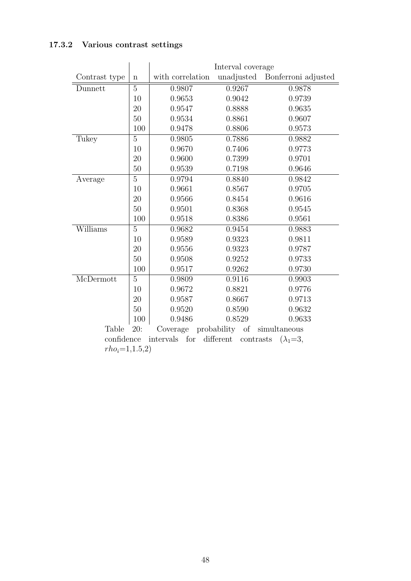## 17.3.2 Various contrast settings

|                               |                | Interval coverage |                        |                     |  |  |  |  |
|-------------------------------|----------------|-------------------|------------------------|---------------------|--|--|--|--|
| Contrast type                 | $\mathbf n$    | with correlation  | unadjusted             | Bonferroni adjusted |  |  |  |  |
| Dunnett                       | $\overline{5}$ | 0.9807            | 0.9267                 | 0.9878              |  |  |  |  |
|                               | 10             | 0.9653            | 0.9042                 | 0.9739              |  |  |  |  |
|                               | 20             | 0.9547            | 0.8888                 | 0.9635              |  |  |  |  |
|                               | 50             | 0.9534            | 0.8861                 | 0.9607              |  |  |  |  |
|                               | 100            | 0.9478            | 0.8806                 | 0.9573              |  |  |  |  |
| Tukey                         | $\overline{5}$ | 0.9805            | 0.7886                 | 0.9882              |  |  |  |  |
|                               | 10             | 0.9670            | 0.7406                 | 0.9773              |  |  |  |  |
|                               | 20             | 0.9600            | 0.7399                 | 0.9701              |  |  |  |  |
|                               | 50             | 0.9539            | 0.7198                 | 0.9646              |  |  |  |  |
| Average                       | $\overline{5}$ | 0.9794            | 0.8840                 | 0.9842              |  |  |  |  |
|                               | 10             | 0.9661            | 0.8567                 | 0.9705              |  |  |  |  |
|                               | 20             | 0.9566            | 0.8454                 | 0.9616              |  |  |  |  |
|                               | 50             | 0.9501            | 0.8368                 | 0.9545              |  |  |  |  |
|                               | 100            | 0.9518            | 0.8386                 | 0.9561              |  |  |  |  |
| Williams                      | $\overline{5}$ | 0.9682            | 0.9454                 | 0.9883              |  |  |  |  |
|                               | 10             | 0.9589            | 0.9323                 | 0.9811              |  |  |  |  |
|                               | 20             | 0.9556            | 0.9323                 | 0.9787              |  |  |  |  |
|                               | 50             | 0.9508            | 0.9252                 | 0.9733              |  |  |  |  |
|                               | 100            | 0.9517            | 0.9262                 | 0.9730              |  |  |  |  |
| $\overline{\text{McDermott}}$ | $\overline{5}$ | 0.9809            | 0.9116                 | 0.9903              |  |  |  |  |
|                               | 10             | 0.9672            | 0.8821                 | 0.9776              |  |  |  |  |
|                               | 20             | 0.9587            | 0.8667                 | 0.9713              |  |  |  |  |
|                               | 50             | 0.9520            | 0.8590                 | 0.9632              |  |  |  |  |
|                               | 100            | 0.9486            | 0.8529                 | 0.9633              |  |  |  |  |
| Table                         | 20:            | Coverage          | probability<br>of      | simultaneous        |  |  |  |  |
| confidence                    |                | for<br>intervals  | different<br>contrasts | $(\lambda_1=3,$     |  |  |  |  |
| $rho_i = 1, 1.5, 2)$          |                |                   |                        |                     |  |  |  |  |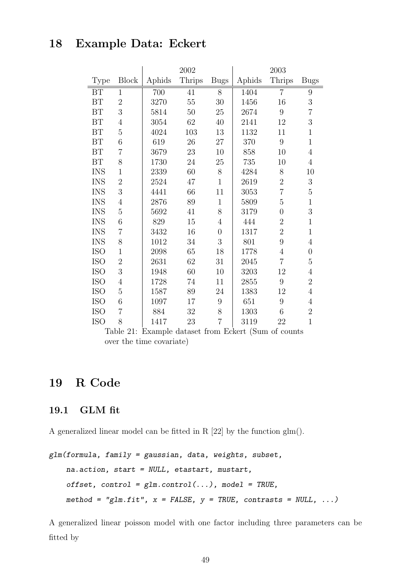# 18 Example Data: Eckert

|            |                |        | 2002          |                |        | 2003           |                |
|------------|----------------|--------|---------------|----------------|--------|----------------|----------------|
| Type       | <b>Block</b>   | Aphids | <b>Thrips</b> | <b>Bugs</b>    | Aphids | <b>Thrips</b>  | <b>Bugs</b>    |
| BT         | $\mathbf{1}$   | 700    | 41            | 8              | 1404   | $\overline{7}$ | 9              |
| BT         | $\overline{2}$ | 3270   | 55            | 30             | 1456   | 16             | 3              |
| BT         | 3              | 5814   | 50            | 25             | 2674   | 9              | $\overline{7}$ |
| BT         | $\overline{4}$ | 3054   | 62            | 40             | 2141   | 12             | 3              |
| BT         | $\overline{5}$ | 4024   | 103           | 13             | 1132   | 11             | $\mathbf{1}$   |
| BT         | 6              | 619    | 26            | 27             | 370    | 9              | $\mathbf{1}$   |
| BT         | $\overline{7}$ | 3679   | 23            | 10             | 858    | 10             | $\overline{4}$ |
| BT         | 8              | 1730   | 24            | 25             | 735    | 10             | $\overline{4}$ |
| <b>INS</b> | $\mathbf 1$    | 2339   | 60            | 8              | 4284   | 8              | 10             |
| <b>INS</b> | $\overline{2}$ | 2524   | 47            | $\mathbf{1}$   | 2619   | $\overline{2}$ | 3              |
| <b>INS</b> | 3              | 4441   | 66            | 11             | 3053   | $\overline{7}$ | $\overline{5}$ |
| <b>INS</b> | $\overline{4}$ | 2876   | 89            | $\mathbf{1}$   | 5809   | $\overline{5}$ | $\mathbf{1}$   |
| <b>INS</b> | $\overline{5}$ | 5692   | 41            | 8              | 3179   | $\overline{0}$ | 3              |
| <b>INS</b> | 6              | 829    | 15            | 4              | 444    | $\overline{2}$ | $\mathbf{1}$   |
| <b>INS</b> | $\overline{7}$ | 3432   | 16            | $\overline{0}$ | 1317   | $\overline{2}$ | $\mathbf{1}$   |
| <b>INS</b> | 8              | 1012   | 34            | 3              | 801    | 9              | $\overline{4}$ |
| <b>ISO</b> | $\mathbf 1$    | 2098   | 65            | 18             | 1778   | $\overline{4}$ | $\overline{0}$ |
| <b>ISO</b> | $\overline{2}$ | 2631   | 62            | 31             | 2045   | $\overline{7}$ | $\overline{5}$ |
| <b>ISO</b> | 3              | 1948   | 60            | 10             | 3203   | 12             | $\overline{4}$ |
| <b>ISO</b> | $\overline{4}$ | 1728   | 74            | 11             | 2855   | 9              | $\overline{2}$ |
| <b>ISO</b> | $\overline{5}$ | 1587   | 89            | 24             | 1383   | 12             | $\overline{4}$ |
| <b>ISO</b> | 6              | 1097   | 17            | 9              | 651    | 9              | $\overline{4}$ |
| <b>ISO</b> | $\overline{7}$ | 884    | 32            | 8              | 1303   | 6              | $\overline{2}$ |
| <b>ISO</b> | 8              | 1417   | 23            | $\overline{7}$ | 3119   | 22             | $\mathbf{1}$   |

Table 21: Example dataset from Eckert (Sum of counts over the time covariate)

# 19 R Code

#### 19.1 GLM fit

A generalized linear model can be fitted in R [22] by the function glm().

```
glm(formula, family = gaussian, data, weights, subset,
    na.action, start = NULL, etastart, mustart,
    offset, control = glm.control(...), model = TRUE,
    method = "glm.fit", x = FALSE, y = TRUE, contrasts = NULL, ...)
```
A generalized linear poisson model with one factor including three parameters can be fitted by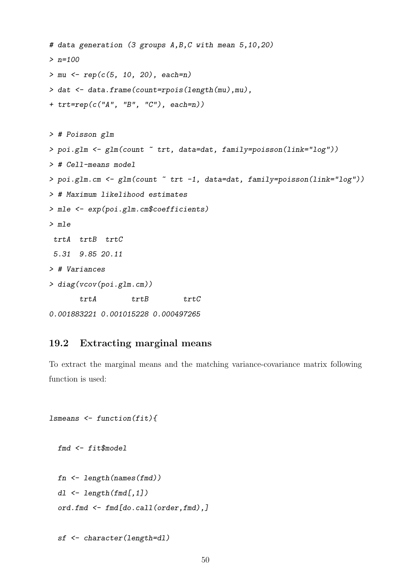```
# data generation (3 groups A,B,C with mean 5,10,20)
> n=100> mu < - rep(c(5, 10, 20), each=n)> dat <- data.frame(count=rpois(length(mu),mu),
+ trt=rep(c("A", "B", "C"), each=n))
> # Poisson glm
> poi.glm <- glm(count ~ trt, data=dat, family=poisson(link="log"))
> # Cell-means model
> poi.glm.cm <- glm(count ~ trt -1, data=dat, family=poisson(link="log"))
> # Maximum likelihood estimates
> mle <- exp(poi.glm.cm$coefficients) #$
> mle
trtA trtB trtC
5.31 9.85 20.11
> # Variances
> diag(vcov(poi.glm.cm))
    trtA trtB trtC
0.001883221 0.001015228 0.000497265
```
### 19.2 Extracting marginal means

To extract the marginal means and the matching variance-covariance matrix following function is used:

```
lsmeans \leq function(fit){
```
fmd <- fit\$model

 $fn \leftarrow length(names(fmd))$ dl <- length(fmd[,1]) ord.fmd <- fmd[do.call(order,fmd),]

```
sf <- character(length=dl)
```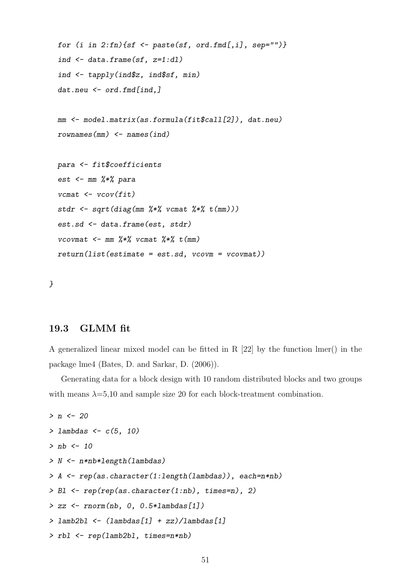```
for (i in 2:fn) {sf <- paste(sf, ord.fmd[,i], sep="")}
ind \leq data.frame(sf, z=1:d1)
ind \leq tapply(ind$z, ind$sf, min)
dat.neu <- ord.fmd[ind.]
mm <- model.matrix(as.formula(fit$call[2]), dat.neu)
rownames(mm) \leftarrow names(ind)para <- fit$coefficients
est \leq mm \frac{1}{2} \frac{1}{2} para
vcmat \leq vcov(fit)stdr \leq sqrt(diag(mm %*% vcmat %*% t(mm)))
est.sd <- data.frame(est, stdr)
vcovmat \leq mm \frac{9}{8} \frac{1}{2} vcmat \frac{9}{8} \frac{1}{2} (mm)
return(list(estimate = est.sd, vcovm = vcovmat)) $
```
}

#### 19.3 GLMM fit

A generalized linear mixed model can be fitted in R [22] by the function lmer() in the package lme4 (Bates, D. and Sarkar, D. (2006)).

Generating data for a block design with 10 random distributed blocks and two groups with means  $\lambda = 5,10$  and sample size 20 for each block-treatment combination.

```
> n < -20> lambdas \leftarrow c(5, 10)> nb <- 10
> N <- n*nb*length(lambdas)
> A <- rep(as.character(1:length(lambdas)), each=n*nb)
> Bl <- rep(rep(as.character(1:nb), times=n), 2)
> zz \leftarrow rnorm(nb, 0, 0.5*lambdas[1])
> lamb2bl <- (lambdas[1] + zz)/lambdas[1]
> rbl <- rep(lamb2bl, times=n*nb)
```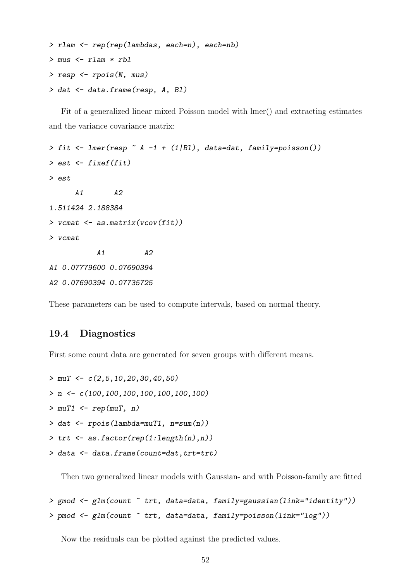```
> rlam <- rep(rep(lambdas, each=n), each=nb)
> mus <- rlam * rbl
> resp <- rpois(N, mus)
> dat <- data.frame(resp, A, Bl)
```
Fit of a generalized linear mixed Poisson model with lmer() and extracting estimates and the variance covariance matrix:

```
> fit \le lmer(resp \sim A -1 + (1|Bl), data=dat, family=poisson())
> est \leq fixef(fit)
> est
     A1 A2
1.511424 2.188384
> vcmat \leq as.matrix(vcov(fit))
> vcmat
          A1 A2A1 0.07779600 0.07690394
A2 0.07690394 0.07735725
```
These parameters can be used to compute intervals, based on normal theory.

#### 19.4 Diagnostics

First some count data are generated for seven groups with different means.

```
> muT <- c(2, 5, 10, 20, 30, 40, 50)> n \leftarrow c(100, 100, 100, 100, 100, 100, 100)> muT1 \leq rep(muT, n)
> dat <- rpois(lambda=muT1, n=sum(n))
> trt <- as.factor(rep(1:length(n),n))
> data <- data.frame(count=dat,trt=trt)
```
Then two generalized linear models with Gaussian- and with Poisson-family are fitted

```
> gmod <- glm(count ~ trt, data=data, family=gaussian(link="identity"))
> pmod <- glm(count ~ trt, data=data, family=poisson(link="log"))
```
Now the residuals can be plotted against the predicted values.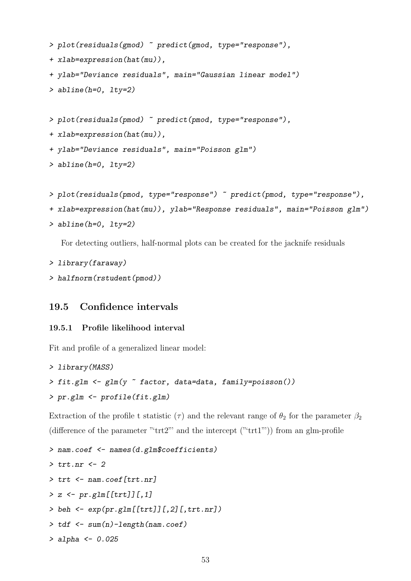```
> plot(residuals(gmod) ~ predict(gmod, type="response"),
+ xlab=expression(hat(mu)),
+ ylab="Deviance residuals", main="Gaussian linear model")
> abline(h=0, lty=2)
```
> plot(residuals(pmod) ~ predict(pmod, type="response"),

+ xlab=expression(hat(mu)),

+ ylab="Deviance residuals", main="Poisson glm")

> abline(h=0, lty=2)

```
> plot(residuals(pmod, type="response") ~ predict(pmod, type="response"),
```

```
+ xlab=expression(hat(mu)), ylab="Response residuals", main="Poisson glm")
```
> abline(h=0, lty=2)

For detecting outliers, half-normal plots can be created for the jacknife residuals

```
> library(faraway)
```

```
> halfnorm(rstudent(pmod))
```
### 19.5 Confidence intervals

#### 19.5.1 Profile likelihood interval

Fit and profile of a generalized linear model:

```
> library(MASS)
> fit.glm <- glm(y ~ factor, data=data, family=poisson())
> pr.glm <- profile(fit.glm)
```
Extraction of the profile t statistic ( $\tau$ ) and the relevant range of  $\theta_2$  for the parameter  $\beta_2$ (difference of the parameter " $trt2$ "' and the intercept (" $trt1$ ")) from an glm-profile

```
> nam.coef <- names(d.glm$coefficients) $
> trt.nr <- 2
> trt <- nam.coef[trt.nr]
> z \leftarrow pr.glm[[trt]][, 1]> beh \leq exp(pr.glm[[trt]][,2][,trt.nr])
> tdf < -sum(n)-length(nam.coef)> alpha <- 0.025
```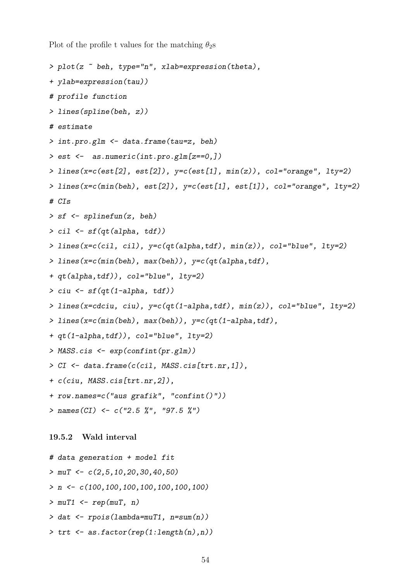Plot of the profile t values for the matching  $\theta_2$ s

```
> plot(z ~ beh, type="n", xlab=expression(theta),
+ ylab=expression(tau))
# profile function
> lines(spline(beh, z))
# estimate
> int.pro.glm <- data.frame(tau=z, beh)
> est <- as.numeric(int.pro.glm[z==0,])
> lines(x=c(est[2], est[2]), y=c(est[1], min(z)), col="orange", lty=2)> lines(x=c(min(beh), est[2]), y=c(est[1], est[1]), col="orange", lty=2)
# CIs
> sf <- splinefun(z, beh)
> cil <- sf(qt(alpha, tdf))
> lines(x=c(cil, cil), y=c(qt(alpha,tdf), min(z)), col="blue", lty=2)
> lines(x=c(min(beh), max(beh)), y=c(qt(alpha,tdf),
+ qt(alpha,tdf)), col="blue", lty=2)
\geq ciu \leq sf(qt(1-alpha, tdf))
> lines(x=cdciu, ciu), y=c(qt(1-alpha,tdf), min(z)), col="blue", lty=2)
> lines(x=c(min(beh), max(beh)), y=c(qt(1-a)pha, tdf),
+ qt(1-alpha,tdf)), col="blue", lty=2)
> MASS.cis <- exp(confint(pr.glm))
> CI <- data.frame(c(cil, MASS.cis[trt.nr,1]),
+ c(ciu, MASS.cis[trt.nr,2]),
+ row.names=c("aus grafik", "confint()"))
> names(CI) <- c("2.5 %", "97.5 %")
19.5.2 Wald interval
# data generation + model fit
> muT <- c(2,5,10,20,30,40,50)> n \leftarrow c(100, 100, 100, 100, 100, 100, 100)
```

```
> muT1 \leq rep(muT, n)
```
- > dat <- rpois(lambda=muT1, n=sum(n))
- $\triangleright$  trt  $\leq$  as.factor(rep(1:length(n),n))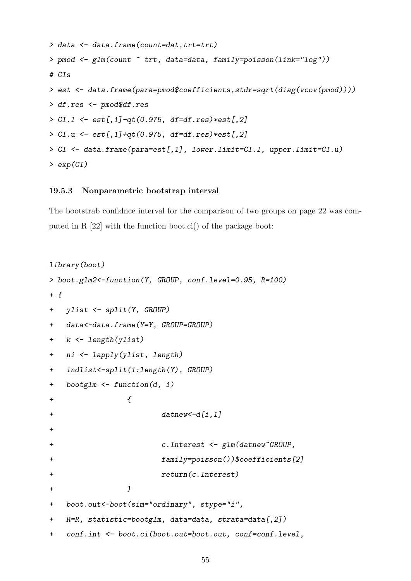```
> data <- data.frame(count=dat,trt=trt)
> pmod <- glm(count ~ trt, data=data, family=poisson(link="log"))
# CIs
> est <- data.frame(para=pmod$coefficients,stdr=sqrt(diag(vcov(pmod))))
> df.res <- pmod$df.res
> CI.1 <- est[,1]-qt(0.975, df=df.res)*est[,2]
> CI.u <- est[,1]+qt(0.975, df=df.res)*est[,2]
> CI <- data.frame(para=est[,1], lower.limit=CI.l, upper.limit=CI.u)
> exp(CI)
```
#### 19.5.3 Nonparametric bootstrap interval

The bootstrab confidnce interval for the comparison of two groups on page 22 was computed in R [22] with the function boot.ci() of the package boot:

```
library(boot)
> boot.glm2<-function(Y, GROUP, conf.level=0.95, R=100)
+ {
+ ylist <- split(Y, GROUP)
+ data<-data.frame(Y=Y, GROUP=GROUP)
+ k <- length(ylist)
+ ni <- lapply(ylist, length)
+ indlist<-split(1:length(Y), GROUP)
+ bootglm <- function(d, i)
+ {
+ datnew <-d[i,1]
+
+ c.Interest <- glm(datnew~GROUP,
+ family=poisson())$coefficients[2]
+ return(c.Interest)
+ }
+ boot.out<-boot(sim="ordinary", stype="i",
+ R=R, statistic=bootglm, data=data, strata=data[,2])
+ conf.int <- boot.ci(boot.out=boot.out, conf=conf.level,
```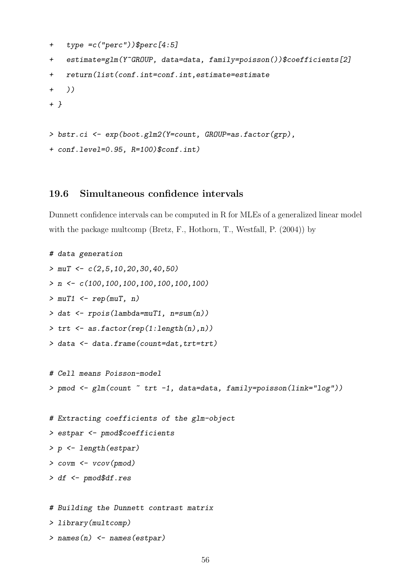```
+ type =c("perc"))$perc[4:5]
+ estimate=glm(Y~GROUP, data=data, family=poisson())$coefficients[2]
+ return(list(conf.int=conf.int,estimate=estimate
+ ))
+ }
> bstr.ci <- exp(boot.glm2(Y=count, GROUP=as.factor(grp),
+ conf.level=0.95, R=100)$conf.int)
```
### 19.6 Simultaneous confidence intervals

Dunnett confidence intervals can be computed in R for MLEs of a generalized linear model with the package multcomp (Bretz, F., Hothorn, T., Westfall, P. (2004)) by

```
# data generation
> muT \leq c(2,5,10,20,30,40,50)> n \leftarrow c(100, 100, 100, 100, 100, 100, 100)> muT1 \leq rep(muT, n)
> dat <- rpois(lambda=muT1, n=sum(n))
\geq trt \leq as.factor(rep(1:length(n),n))
> data <- data.frame(count=dat,trt=trt)
# Cell means Poisson-model
> pmod <- glm(count ~ trt -1, data=data, family=poisson(link="log"))
# Extracting coefficients of the glm-object
> estpar <- pmod$coefficients
> p <- length(estpar)
> covm <- vcov(pmod)
> df <- pmod$df.res
# Building the Dunnett contrast matrix
> library(multcomp)
> names(n) <- names(estpar)
```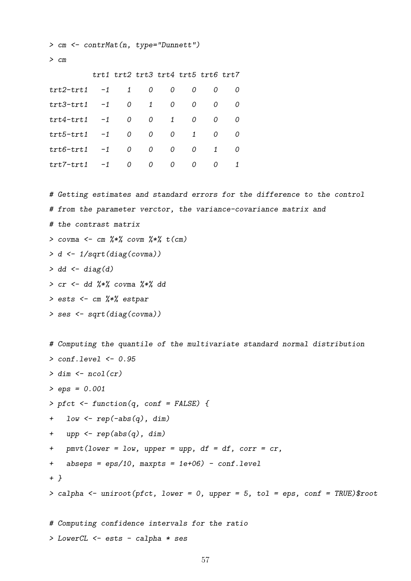```
> cm <- contrMat(n, type="Dunnett")
> cmtrt1 trt2 trt3 trt4 trt5 trt6 trt7
trt2-trt1 -1 1 0 0 0 0 0trt3-trt1 -1 0 1 0 0 0 0
trt4-trt1 -1 0 0 1 0 0 0
trt5-trt1 -1 0 0 0 1 0 0
trt6-trt1 -1 0 0 0 0 1 0
trt7-trt1 -1 0 0 0 0 0 1
# Getting estimates and standard errors for the difference to the control
# from the parameter verctor, the variance-covariance matrix and
# the contrast matrix
> covma \leq cm \frac{2*}{2} covm \frac{2*}{2} t(cm)
> d <- 1/sqrt(diag(covma))
> dd \leq diag(d)> cr < - dd \frac{9}{8} covma \frac{9}{8} \frac{1}{8} dd
> ests <- cm %*% estpar
> ses <- sqrt(diag(covma))
# Computing the quantile of the multivariate standard normal distribution
> conf.level <- 0.95
> dim \leftarrow ncol(cr)> eps = 0.001
> pfct \le function(q, conf = FALSE) {
+ low <- rep(-abs(q), dim)
+ upp <- rep(abs(q), dim)
+ pmvt(lower = low, upper = upp, df = df, corr = cr,
+ abseps = eps/10, maxpts = 1e+06) - conf.level
+ }
> calpha <- uniroot(pfct, lower = 0, upper = 5, tol = eps, conf = TRUE)$root
# Computing confidence intervals for the ratio
```

```
> LowerCL <- ests - calpha * ses
```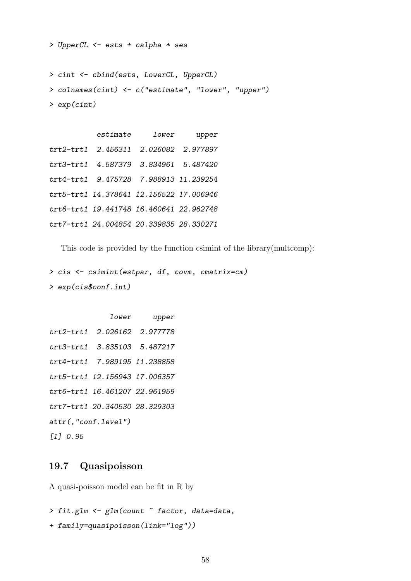> UpperCL <- ests + calpha \* ses

```
> cint <- cbind(ests, LowerCL, UpperCL)
> colnames(cint) <- c("estimate", "lower", "upper")
> exp(cint)
```
estimate lower upper trt2-trt1 2.456311 2.026082 2.977897 trt3-trt1 4.587379 3.834961 5.487420 trt4-trt1 9.475728 7.988913 11.239254 trt5-trt1 14.378641 12.156522 17.006946 trt6-trt1 19.441748 16.460641 22.962748 trt7-trt1 24.004854 20.339835 28.330271

This code is provided by the function csimint of the library(multcomp):

> cis <- csimint(estpar, df, covm, cmatrix=cm) > exp(cis\$conf.int) \$

```
lower upper
trt2-trt1 2.026162 2.977778
trt3-trt1 3.835103 5.487217
trt4-trt1 7.989195 11.238858
trt5-trt1 12.156943 17.006357
trt6-trt1 16.461207 22.961959
trt7-trt1 20.340530 28.329303
attr(,"conf.level")
[1] 0.95
```
### 19.7 Quasipoisson

A quasi-poisson model can be fit in R by

```
> fit.glm <- glm(count ~ factor, data=data,
```
+ family=quasipoisson(link="log"))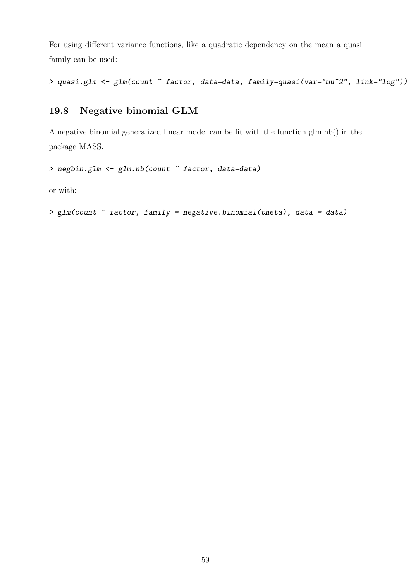For using different variance functions, like a quadratic dependency on the mean a quasi family can be used:

```
> quasi.glm <- glm(count ~ factor, data=data, family=quasi(var="mu^2", link="log"))
```
## 19.8 Negative binomial GLM

A negative binomial generalized linear model can be fit with the function glm.nb() in the package MASS.

```
> negbin.glm <- glm.nb(count ~ factor, data=data)
```
or with:

```
> glm(count ~ factor, family = negative.binomial(theta), data = data)
```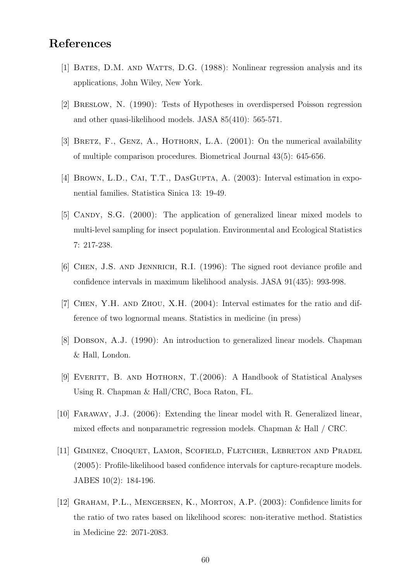# References

- [1] Bates, D.M. and Watts, D.G. (1988): Nonlinear regression analysis and its applications, John Wiley, New York.
- [2] Breslow, N. (1990): Tests of Hypotheses in overdispersed Poisson regression and other quasi-likelihood models. JASA 85(410): 565-571.
- [3] BRETZ, F., GENZ, A., HOTHORN, L.A.  $(2001)$ : On the numerical availability of multiple comparison procedures. Biometrical Journal 43(5): 645-656.
- [4] BROWN, L.D., CAI, T.T., DASGUPTA, A. (2003): Interval estimation in exponential families. Statistica Sinica 13: 19-49.
- [5] CANDY, S.G. (2000): The application of generalized linear mixed models to multi-level sampling for insect population. Environmental and Ecological Statistics 7: 217-238.
- [6] Chen, J.S. and Jennrich, R.I. (1996): The signed root deviance profile and confidence intervals in maximum likelihood analysis. JASA 91(435): 993-998.
- [7] Chen, Y.H. and Zhou, X.H. (2004): Interval estimates for the ratio and difference of two lognormal means. Statistics in medicine (in press)
- [8] Dobson, A.J. (1990): An introduction to generalized linear models. Chapman & Hall, London.
- [9] Everitt, B. and Hothorn, T.(2006): A Handbook of Statistical Analyses Using R. Chapman & Hall/CRC, Boca Raton, FL.
- [10] Faraway, J.J. (2006): Extending the linear model with R. Generalized linear, mixed effects and nonparametric regression models. Chapman & Hall / CRC.
- [11] Giminez, Choquet, Lamor, Scofield, Fletcher, Lebreton and Pradel (2005): Profile-likelihood based confidence intervals for capture-recapture models. JABES 10(2): 184-196.
- [12] GRAHAM, P.L., MENGERSEN, K., MORTON, A.P. (2003): Confidence limits for the ratio of two rates based on likelihood scores: non-iterative method. Statistics in Medicine 22: 2071-2083.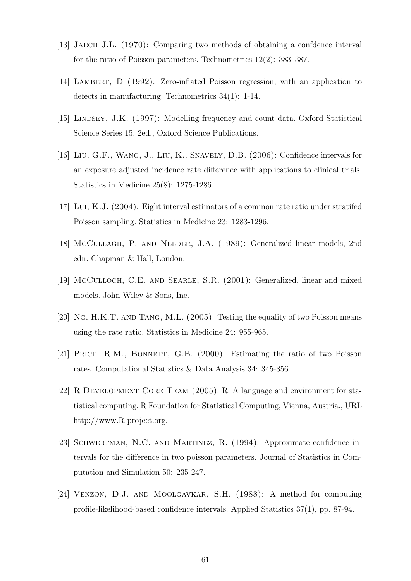- [13] Jaech J.L. (1970): Comparing two methods of obtaining a confdence interval for the ratio of Poisson parameters. Technometrics 12(2): 383–387.
- [14] Lambert, D (1992): Zero-inflated Poisson regression, with an application to defects in manufacturing. Technometrics 34(1): 1-14.
- [15] LINDSEY, J.K. (1997): Modelling frequency and count data. Oxford Statistical Science Series 15, 2ed., Oxford Science Publications.
- [16] Liu, G.F., Wang, J., Liu, K., Snavely, D.B. (2006): Confidence intervals for an exposure adjusted incidence rate difference with applications to clinical trials. Statistics in Medicine 25(8): 1275-1286.
- [17] Lui, K.J. (2004): Eight interval estimators of a common rate ratio under stratifed Poisson sampling. Statistics in Medicine 23: 1283-1296.
- [18] McCullagh, P. and Nelder, J.A. (1989): Generalized linear models, 2nd edn. Chapman & Hall, London.
- [19] McCulloch, C.E. AND SEARLE, S.R. (2001): Generalized, linear and mixed models. John Wiley & Sons, Inc.
- [20] Ng, H.K.T. and Tang, M.L. (2005): Testing the equality of two Poisson means using the rate ratio. Statistics in Medicine 24: 955-965.
- [21] PRICE, R.M., BONNETT, G.B. (2000): Estimating the ratio of two Poisson rates. Computational Statistics & Data Analysis 34: 345-356.
- [22] R Development Core Team (2005). R: A language and environment for statistical computing. R Foundation for Statistical Computing, Vienna, Austria., URL http://www.R-project.org.
- [23] Schwertman, N.C. and Martinez, R. (1994): Approximate confidence intervals for the difference in two poisson parameters. Journal of Statistics in Computation and Simulation 50: 235-247.
- [24] Venzon, D.J. and Moolgavkar, S.H. (1988): A method for computing profile-likelihood-based confidence intervals. Applied Statistics 37(1), pp. 87-94.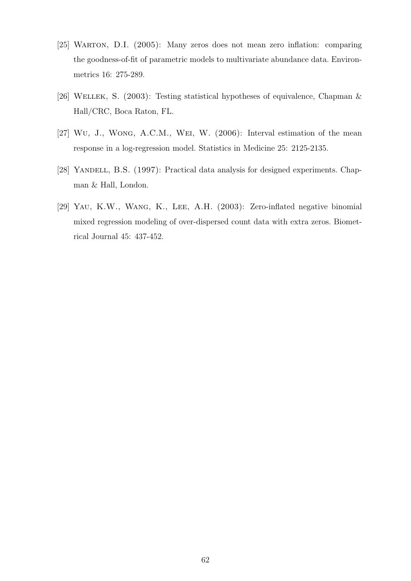- [25] WARTON, D.I. (2005): Many zeros does not mean zero inflation: comparing the goodness-of-fit of parametric models to multivariate abundance data. Environmetrics 16: 275-289.
- [26] WELLEK, S. (2003): Testing statistical hypotheses of equivalence, Chapman & Hall/CRC, Boca Raton, FL.
- [27] Wu, J., Wong, A.C.M., Wei, W. (2006): Interval estimation of the mean response in a log-regression model. Statistics in Medicine 25: 2125-2135.
- [28] YANDELL, B.S. (1997): Practical data analysis for designed experiments. Chapman & Hall, London.
- [29] Yau, K.W., Wang, K., Lee, A.H. (2003): Zero-inflated negative binomial mixed regression modeling of over-dispersed count data with extra zeros. Biometrical Journal 45: 437-452.